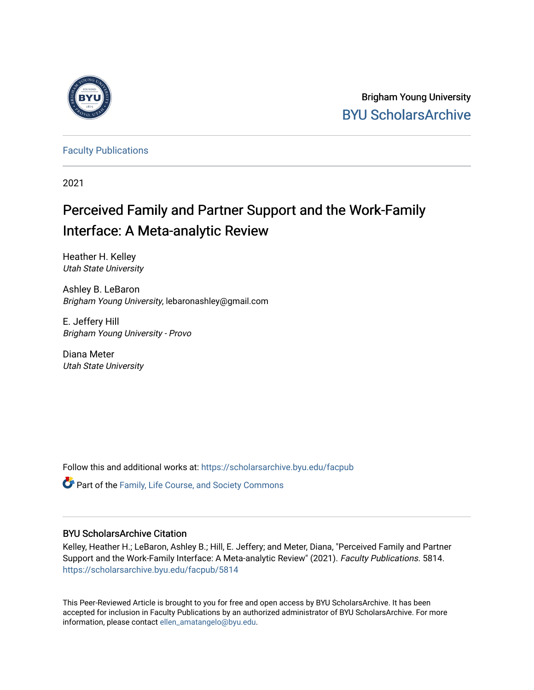

Brigham Young University [BYU ScholarsArchive](https://scholarsarchive.byu.edu/) 

[Faculty Publications](https://scholarsarchive.byu.edu/facpub)

2021

# Perceived Family and Partner Support and the Work-Family Interface: A Meta-analytic Review

Heather H. Kelley Utah State University

Ashley B. LeBaron Brigham Young University, lebaronashley@gmail.com

E. Jeffery Hill Brigham Young University - Provo

Diana Meter Utah State University

Follow this and additional works at: [https://scholarsarchive.byu.edu/facpub](https://scholarsarchive.byu.edu/facpub?utm_source=scholarsarchive.byu.edu%2Ffacpub%2F5814&utm_medium=PDF&utm_campaign=PDFCoverPages) 

**C** Part of the Family, Life Course, and Society Commons

### BYU ScholarsArchive Citation

Kelley, Heather H.; LeBaron, Ashley B.; Hill, E. Jeffery; and Meter, Diana, "Perceived Family and Partner Support and the Work-Family Interface: A Meta-analytic Review" (2021). Faculty Publications. 5814. [https://scholarsarchive.byu.edu/facpub/5814](https://scholarsarchive.byu.edu/facpub/5814?utm_source=scholarsarchive.byu.edu%2Ffacpub%2F5814&utm_medium=PDF&utm_campaign=PDFCoverPages)

This Peer-Reviewed Article is brought to you for free and open access by BYU ScholarsArchive. It has been accepted for inclusion in Faculty Publications by an authorized administrator of BYU ScholarsArchive. For more information, please contact [ellen\\_amatangelo@byu.edu.](mailto:ellen_amatangelo@byu.edu)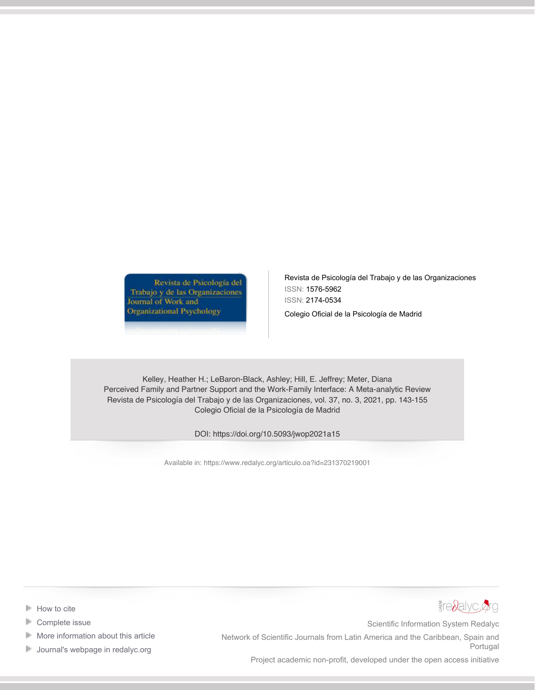Revista de Psicología del Trabajo y de las Organizaciones Journal of Work and **Organizational Psychology** 

Revista de Psicología del Trabajo y de las Organizaciones ISSN: 1576-5962 ISSN: 2174-0534

Colegio Oficial de la Psicología de Madrid

Kelley, Heather H.; LeBaron-Black, Ashley; Hill, E. Jeffrey; Meter, Diana Perceived Family and Partner Support and the Work-Family Interface: A Meta-analytic Review Revista de Psicología del Trabajo y de las Organizaciones, vol. 37, no. 3, 2021, pp. 143-155 Colegio Oficial de la Psicología de Madrid

DOI: https://doi.org/10.5093/jwop2021a15

Available in:<https://www.redalyc.org/articulo.oa?id=231370219001>



- [Complete issue](https://www.redalyc.org/fasciculo.oa?id=2313&numero=70219) ь
- ь [More information about this article](https://www.redalyc.org/articulo.oa?id=231370219001)
- **[Journal's webpage in redalyc.org](https://www.redalyc.org/revista.oa?id=2313)**



Scientific Information System Redalyc

Network of Scientific Journals from Latin America and the Caribbean, Spain and Portugal

Project academic non-profit, developed under the open access initiative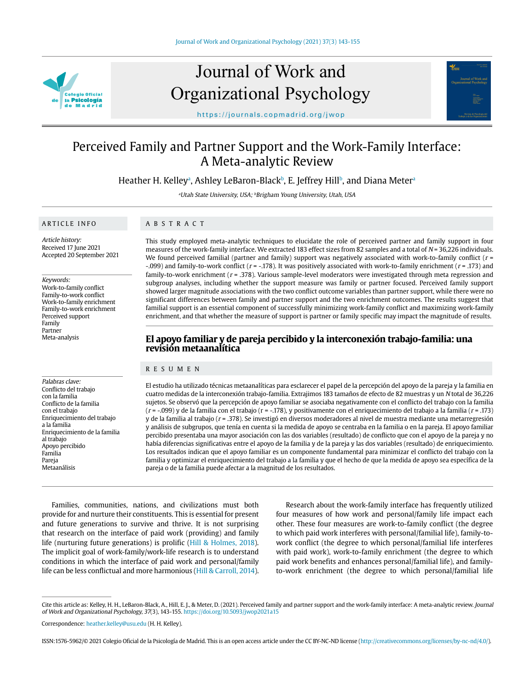

# Journal of Work and Organizational Psychology



https://journals.copmadrid.org/jwop

## Perceived Family and Partner Support and the Work-Family Interface: A Meta-analytic Review

Heather H. Kelleyª, Ashley LeBaron-Blackʰ, E. Jeffrey Hillʰ, and Diana Meterª

<sup>a</sup>Utah State University, USA; <sup>b</sup>Brigham Young University, Utah, USA

#### ARTICLE INFO

ABSTRACT

Article history: Received 17 June 2021 Accepted 20 September 2021

#### Keywords:

Work-to-family conflict Family-to-work conflict Work-to-family enrichment Family-to-work enrichment Perceived support Family Partner Meta-analysis

Palabras clave: Conflicto del trabajo con la familia Conflicto de la familia con el trabajo Enriquecimiento del trabajo a la familia Enriquecimiento de la familia al trabajo Apoyo percibido Familia Pareja Metaanálisis

This study employed meta-analytic techniques to elucidate the role of perceived partner and family support in four measures of the work-family interface. We extracted 183 effect sizes from 82 samples and a total of  $N = 36,226$  individuals. We found perceived familial (partner and family) support was negatively associated with work-to-family conflict  $(r = 1, r = 1)$ -.099) and family-to-work conflict ( $r = -178$ ). It was positively associated with work-to-family enrichment ( $r = 173$ ) and family-to-work enrichment  $(r = .378)$ . Various sample-level moderators were investigated through meta regression and subgroup analyses, including whether the support measure was family or partner focused. Perceived family support showed larger magnitude associations with the two conflict outcome variables than partner support, while there were no significant differences between family and partner support and the two enrichment outcomes. The results suggest that familial support is an essential component of successfully minimizing work-family conflict and maximizing work-family enrichment, and that whether the measure of support is partner or family specific may impact the magnitude of results.

### **El apoyo familiar y de pareja percibido y la interconexión trabajo-familia: una revisión metaanalítica**

#### RESUMEN

El estudio ha utilizado técnicas metaanalíticas para esclarecer el papel de la percepción del apoyo de la pareja y la familia en cuatro medidas de la interconexión trabajo-familia. Extrajimos 183 tamaños de efecto de 82 muestras y un N total de 36,226 sujetos. Se observó que la percepción de apoyo familiar se asociaba negativamente con el conflicto del trabajo con la familia  $(r = -0.099)$  y de la familia con el trabajo (r = -.178), y positivamente con el enriquecimiento del trabajo a la familia (r = .173) y de la familia al trabajo ( $r = .378$ ). Se investigó en diversos moderadores al nivel de muestra mediante una metarregresión y análisis de subgrupos, que tenía en cuenta si la medida de apoyo se centraba en la familia o en la pareja. El apoyo familiar percibido presentaba una mayor asociación con las dos variables (resultado) de conflicto que con el apoyo de la pareja y no había diferencias significativas entre el apoyo de la familia y de la pareja y las dos variables (resultado) de enriquecimiento. Los resultados indican que el apoyo familiar es un componente fundamental para minimizar el conflicto del trabajo con la familia y optimizar el enriquecimiento del trabajo a la familia y que el hecho de que la medida de apoyo sea específica de la pareja o de la familia puede afectar a la magnitud de los resultados.

Families, communities, nations, and civilizations must both provide for and nurture their constituents. This is essential for present and future generations to survive and thrive. It is not surprising that research on the interface of paid work (providing) and family life (nurturing future generations) is prolific (Hill & Holmes, 2018). The implicit goal of work-family/work-life research is to understand conditions in which the interface of paid work and personal/family life can be less conflictual and more harmonious (Hill & Carroll, 2014).

Research about the work-family interface has frequently utilized four measures of how work and personal/family life impact each other. These four measures are work-to-family conflict (the degree to which paid work interferes with personal/familial life), family-towork conflict (the degree to which personal/familial life interferes with paid work), work-to-family enrichment (the degree to which paid work benefits and enhances personal/familial life), and familyto-work enrichment (the degree to which personal/familial life

Cite this article as: Kelley, H. H., LeBaron-Black, A., Hill, E. J., & Meter, D. (2021). Perceived family and partner support and the work-family interface: A meta-analytic review. Journal of Work and Organizational Psychology, 37(3), 143-155. https://doi.org/10.5093/jwop2021a15

Correspondence: heather.kelley@usu.edu (H. H. Kelley).

ISSN:1576-5962/© 2021 Colegio Oficial de la Psicología de Madrid. This is an open access article under the CC BY-NC-ND license (http://creativecommons.org/licenses/by-nc-nd/4.0/).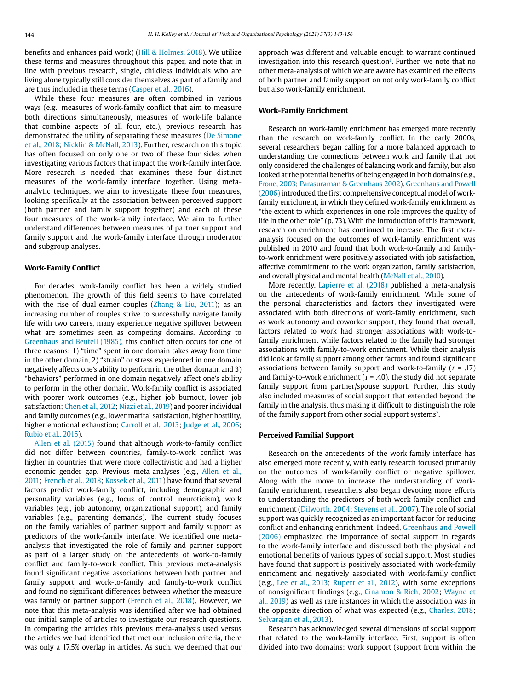benefits and enhances paid work) (Hill & Holmes, 2018). We utilize these terms and measures throughout this paper, and note that in line with previous research, single, childless individuals who are living alone typically still consider themselves as part of a family and are thus included in these terms (Casper et al., 2016).

While these four measures are often combined in various ways (e.g., measures of work-family conflict that aim to measure both directions simultaneously, measures of work-life balance that combine aspects of all four, etc.), previous research has demonstrated the utility of separating these measures (De Simone et al., 2018; Nicklin & McNall, 2013). Further, research on this topic has often focused on only one or two of these four sides when investigating various factors that impact the work-family interface. More research is needed that examines these four distinct measures of the work-family interface together. Using metaanalytic techniques, we aim to investigate these four measures, looking specifically at the association between perceived support (both partner and family support together) and each of these four measures of the work-family interface. We aim to further understand differences between measures of partner support and family support and the work-family interface through moderator and subgroup analyses.

#### **Work-Family Conflict**

For decades, work-family conflict has been a widely studied phenomenon. The growth of this field seems to have correlated with the rise of dual-earner couples (Zhang & Liu, 2011); as an increasing number of couples strive to successfully navigate family life with two careers, many experience negative spillover between what are sometimes seen as competing domains. According to Greenhaus and Beutell (1985), this conflict often occurs for one of three reasons: 1) "time" spent in one domain takes away from time in the other domain, 2) "strain" or stress experienced in one domain negatively affects one's ability to perform in the other domain, and 3) "behaviors" performed in one domain negatively affect one's ability to perform in the other domain. Work-family conflict is associated with poorer work outcomes (e.g., higher job burnout, lower job satisfaction; Chen et al., 2012; Niazi et al., 2019) and poorer individual and family outcomes (e.g., lower marital satisfaction, higher hostility, higher emotional exhaustion; Carroll et al., 2013; Judge et al., 2006; Rubio et al., 2015).

Allen et al. (2015) found that although work-to-family conflict did not differ between countries, family-to-work conflict was higher in countries that were more collectivistic and had a higher economic gender gap. Previous meta-analyses (e.g., Allen et al., 2011; French et al., 2018; Kossek et al., 2011) have found that several factors predict work-family conflict, including demographic and personality variables (e.g., locus of control, neuroticism), work variables (e.g., job autonomy, organizational support), and family variables (e.g., parenting demands). The current study focuses on the family variables of partner support and family support as predictors of the work-family interface. We identified one metaanalysis that investigated the role of family and partner support as part of a larger study on the antecedents of work-to-family conflict and family-to-work conflict. This previous meta-analysis found significant negative associations between both partner and family support and work-to-family and family-to-work conflict and found no significant differences between whether the measure was family or partner support (French et al., 2018). However, we note that this meta-analysis was identified after we had obtained our initial sample of articles to investigate our research questions. In comparing the articles this previous meta-analysis used versus the articles we had identified that met our inclusion criteria, there was only a 17.5% overlap in articles. As such, we deemed that our approach was different and valuable enough to warrant continued investigation into this research question<sup>1</sup>. Further, we note that no other meta-analysis of which we are aware has examined the effects of both partner and family support on not only work-family conflict but also work-family enrichment.

#### **Work-Family Enrichment**

Research on work-family enrichment has emerged more recently than the research on work-family conflict. In the early 2000s, several researchers began calling for a more balanced approach to understanding the connections between work and family that not only considered the challenges of balancing work and family, but also looked at the potential benefits of being engaged in both domains (e.g., Frone, 2003; Parasuraman & Greenhaus 2002). Greenhaus and Powell (2006) introduced the first comprehensive conceptual model of workfamily enrichment, in which they defined work-family enrichment as "the extent to which experiences in one role improves the quality of life in the other role" (p. 73). With the introduction of this framework, research on enrichment has continued to increase. The first metaanalysis focused on the outcomes of work-family enrichment was published in 2010 and found that both work-to-family and familyto-work enrichment were positively associated with job satisfaction, affective commitment to the work organization, family satisfaction, and overall physical and mental health (McNall et al., 2010).

More recently, Lapierre et al. (2018) published a meta-analysis on the antecedents of work-family enrichment. While some of the personal characteristics and factors they investigated were associated with both directions of work-family enrichment, such as work autonomy and coworker support, they found that overall, factors related to work had stronger associations with work-tofamily enrichment while factors related to the family had stronger associations with family-to-work enrichment. While their analysis did look at family support among other factors and found significant associations between family support and work-to-family  $(r = .17)$ and family-to-work enrichment ( $r = .40$ ), the study did not separate family support from partner/spouse support. Further, this study also included measures of social support that extended beyond the family in the analysis, thus making it difficult to distinguish the role of the family support from other social support systems<sup>2</sup>.

#### **Perceived Familial Support**

Research on the antecedents of the work-family interface has also emerged more recently, with early research focused primarily on the outcomes of work-family conflict or negative spillover. Along with the move to increase the understanding of workfamily enrichment, researchers also began devoting more efforts to understanding the predictors of both work-family conflict and enrichment (Dilworth, 2004; Stevens et al., 2007). The role of social support was quickly recognized as an important factor for reducing conflict and enhancing enrichment. Indeed, Greenhaus and Powell (2006) emphasized the importance of social support in regards to the work-family interface and discussed both the physical and emotional benefits of various types of social support. Most studies have found that support is positively associated with work-family enrichment and negatively associated with work-family conflict (e.g., Lee et al., 2013; Rupert et al., 2012), with some exceptions of nonsignificant findings (e.g., Cinamon & Rich, 2002; Wayne et al., 2019) as well as rare instances in which the association was in the opposite direction of what was expected (e.g., Charles, 2018; Selvarajan et al., 2013).

Research has acknowledged several dimensions of social support that related to the work-family interface. First, support is often divided into two domains: work support (support from within the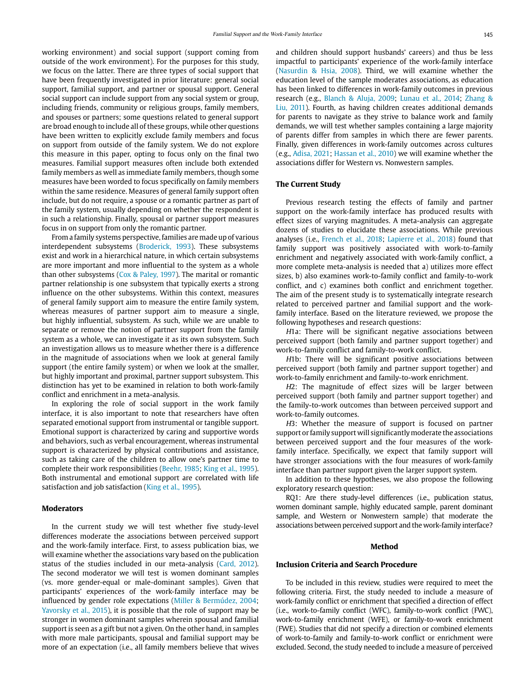working environment) and social support (support coming from outside of the work environment). For the purposes for this study, we focus on the latter. There are three types of social support that have been frequently investigated in prior literature: general social support, familial support, and partner or spousal support. General social support can include support from any social system or group, including friends, community or religious groups, family members, and spouses or partners; some questions related to general support are broad enough to include all of these groups, while other questions have been written to explicitly exclude family members and focus on support from outside of the family system. We do not explore this measure in this paper, opting to focus only on the final two measures. Familial support measures often include both extended family members as well as immediate family members, though some measures have been worded to focus specifically on family members within the same residence. Measures of general family support often include, but do not require, a spouse or a romantic partner as part of the family system, usually depending on whether the respondent is in such a relationship. Finally, spousal or partner support measures focus in on support from only the romantic partner.

From a family systems perspective, families are made up of various interdependent subsystems (Broderick, 1993). These subsystems exist and work in a hierarchical nature, in which certain subsystems are more important and more influential to the system as a whole than other subsystems (Cox & Paley, 1997). The marital or romantic partner relationship is one subsystem that typically exerts a strong influence on the other subsystems. Within this context, measures of general family support aim to measure the entire family system, whereas measures of partner support aim to measure a single, but highly influential, subsystem. As such, while we are unable to separate or remove the notion of partner support from the family system as a whole, we can investigate it as its own subsystem. Such an investigation allows us to measure whether there is a difference in the magnitude of associations when we look at general family support (the entire family system) or when we look at the smaller, but highly important and proximal, partner support subsystem. This distinction has yet to be examined in relation to both work-family conflict and enrichment in a meta-analysis.

In exploring the role of social support in the work family interface, it is also important to note that researchers have often separated emotional support from instrumental or tangible support. Emotional support is characterized by caring and supportive words and behaviors, such as verbal encouragement, whereas instrumental support is characterized by physical contributions and assistance, such as taking care of the children to allow one's partner time to complete their work responsibilities (Beehr, 1985; King et al., 1995). Both instrumental and emotional support are correlated with life satisfaction and job satisfaction (King et al., 1995).

#### **Moderators**

In the current study we will test whether five study-level differences moderate the associations between perceived support and the work-family interface. First, to assess publication bias, we will examine whether the associations vary based on the publication status of the studies included in our meta-analysis (Card, 2012). The second moderator we will test is women dominant samples (vs. more gender-equal or male-dominant samples). Given that participants' experiences of the work-family interface may be influenced by gender role expectations (Miller & Bermúdez, 2004; Yavorsky et al., 2015), it is possible that the role of support may be stronger in women dominant samples wherein spousal and familial support is seen as a gift but not a given. On the other hand, in samples with more male participants, spousal and familial support may be more of an expectation (i.e., all family members believe that wives

and children should support husbands' careers) and thus be less impactful to participants' experience of the work-family interface (Nasurdin & Hsia, 2008). Third, we will examine whether the education level of the sample moderates associations, as education has been linked to differences in work-family outcomes in previous research (e.g., Blanch & Aluja, 2009; Lunau et al., 2014; Zhang & Liu, 2011). Fourth, as having children creates additional demands for parents to navigate as they strive to balance work and family demands, we will test whether samples containing a large majority of parents differ from samples in which there are fewer parents. Finally, given differences in work-family outcomes across cultures (e.g., Adisa, 2021; Hassan et al., 2010) we will examine whether the associations differ for Western vs. Nonwestern samples.

#### **The Current Study**

Previous research testing the effects of family and partner support on the work-family interface has produced results with effect sizes of varying magnitudes. A meta-analysis can aggregate dozens of studies to elucidate these associations. While previous analyses (i.e., French et al., 2018; Lapierre et al., 2018) found that family support was positively associated with work-to-family enrichment and negatively associated with work-family conflict, a more complete meta-analysis is needed that a) utilizes more effect sizes, b) also examines work-to-family conflict and family-to-work conflict, and c) examines both conflict and enrichment together. The aim of the present study is to systematically integrate research related to perceived partner and familial support and the workfamily interface. Based on the literature reviewed, we propose the following hypotheses and research questions:

H1a: There will be significant negative associations between perceived support (both family and partner support together) and work-to-family conflict and family-to-work conflict.

H1b: There will be significant positive associations between perceived support (both family and partner support together) and work-to-family enrichment and family-to-work enrichment.

H2: The magnitude of effect sizes will be larger between perceived support (both family and partner support together) and the family-to-work outcomes than between perceived support and work-to-family outcomes.

H3: Whether the measure of support is focused on partner support or family support will significantly moderate the associations between perceived support and the four measures of the workfamily interface. Specifically, we expect that family support will have stronger associations with the four measures of work-family interface than partner support given the larger support system.

In addition to these hypotheses, we also propose the following exploratory research question:

RQ1: Are there study-level differences (i.e., publication status, women dominant sample, highly educated sample, parent dominant sample, and Western or Nonwestern sample) that moderate the associations between perceived support and the work-family interface?

#### **Method**

#### **Inclusion Criteria and Search Procedure**

To be included in this review, studies were required to meet the following criteria. First, the study needed to include a measure of work-family conflict or enrichment that specified a direction of effect (i.e., work-to-family conflict (WFC), family-to-work conflict (FWC), work-to-family enrichment (WFE), or family-to-work enrichment (FWE). Studies that did not specify a direction or combined elements of work-to-family and family-to-work conflict or enrichment were excluded. Second, the study needed to include a measure of perceived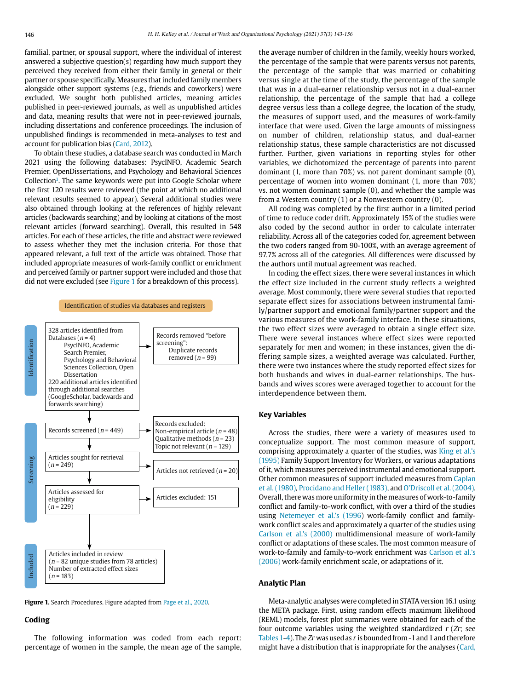familial, partner, or spousal support, where the individual of interest answered a subjective question(s) regarding how much support they perceived they received from either their family in general or their partner or spouse specifically. Measures that included family members alongside other support systems (e.g., friends and coworkers) were excluded. We sought both published articles, meaning articles published in peer-reviewed journals, as well as unpublished articles and data, meaning results that were not in peer-reviewed journals, including dissertations and conference proceedings. The inclusion of unpublished findings is recommended in meta-analyses to test and account for publication bias (Card, 2012).

To obtain these studies, a database search was conducted in March 2021 using the following databases: PsycINFO, Academic Search Premier, OpenDissertations, and Psychology and Behavioral Sciences Collection<sup>3</sup>. The same keywords were put into Google Scholar where the first 120 results were reviewed (the point at which no additional relevant results seemed to appear). Several additional studies were also obtained through looking at the references of highly relevant articles (backwards searching) and by looking at citations of the most relevant articles (forward searching). Overall, this resulted in 548 articles. For each of these articles, the title and abstract were reviewed to assess whether they met the inclusion criteria. For those that appeared relevant, a full text of the article was obtained. Those that included appropriate measures of work-family conflict or enrichment and perceived family or partner support were included and those that did not were excluded (see Figure 1 for a breakdown of this process).



**Figure 1.** Search Procedures. Figure adapted from Page et al., 2020.

#### **Coding**

The following information was coded from each report: percentage of women in the sample, the mean age of the sample, the average number of children in the family, weekly hours worked, the percentage of the sample that were parents versus not parents, the percentage of the sample that was married or cohabiting versus single at the time of the study, the percentage of the sample that was in a dual-earner relationship versus not in a dual-earner relationship, the percentage of the sample that had a college degree versus less than a college degree, the location of the study, the measures of support used, and the measures of work-family interface that were used. Given the large amounts of missingness on number of children, relationship status, and dual-earner relationship status, these sample characteristics are not discussed further. Further, given variations in reporting styles for other variables, we dichotomized the percentage of parents into parent dominant (1, more than 70%) vs. not parent dominant sample (0), percentage of women into women dominant (1, more than 70%) vs. not women dominant sample (0), and whether the sample was from a Western country (1) or a Nonwestern country (0).

All coding was completed by the first author in a limited period of time to reduce coder drift. Approximately 15% of the studies were also coded by the second author in order to calculate interrater reliability. Across all of the categories coded for, agreement between the two coders ranged from 90-100%, with an average agreement of 97.7% across all of the categories. All differences were discussed by the authors until mutual agreement was reached.

In coding the effect sizes, there were several instances in which the effect size included in the current study reflects a weighted average. Most commonly, there were several studies that reported separate effect sizes for associations between instrumental family/partner support and emotional family/partner support and the various measures of the work-family interface. In these situations, the two effect sizes were averaged to obtain a single effect size. There were several instances where effect sizes were reported separately for men and women; in these instances, given the differing sample sizes, a weighted average was calculated. Further, there were two instances where the study reported effect sizes for both husbands and wives in dual-earner relationships. The husbands and wives scores were averaged together to account for the interdependence between them.

#### **Key Variables**

Across the studies, there were a variety of measures used to conceptualize support. The most common measure of support, comprising approximately a quarter of the studies, was King et al.'s (1995) Family Support Inventory for Workers, or various adaptations of it, which measures perceived instrumental and emotional support. Other common measures of support included measures from Caplan et al. (1980), Procidano and Heller (1983), and O'Driscoll et al. (2004). Overall, there was more uniformity in the measures of work-to-family conflict and family-to-work conflict, with over a third of the studies using Netemeyer et al.'s (1996) work-family conflict and familywork conflict scales and approximately a quarter of the studies using Carlson et al.'s (2000) multidimensional measure of work-family conflict or adaptations of these scales. The most common measure of work-to-family and family-to-work enrichment was Carlson et al.'s (2006) work-family enrichment scale, or adaptations of it.

#### **Analytic Plan**

Meta-analytic analyses were completed in STATA version 16.1 using the META package. First, using random effects maximum likelihood (REML) models, forest plot summaries were obtained for each of the four outcome variables using the weighted standardized  $r$  ( $Zr$ ; see Tables 1-4). The  $Zr$  was used as  $r$  is bounded from -1 and 1 and therefore might have a distribution that is inappropriate for the analyses (Card,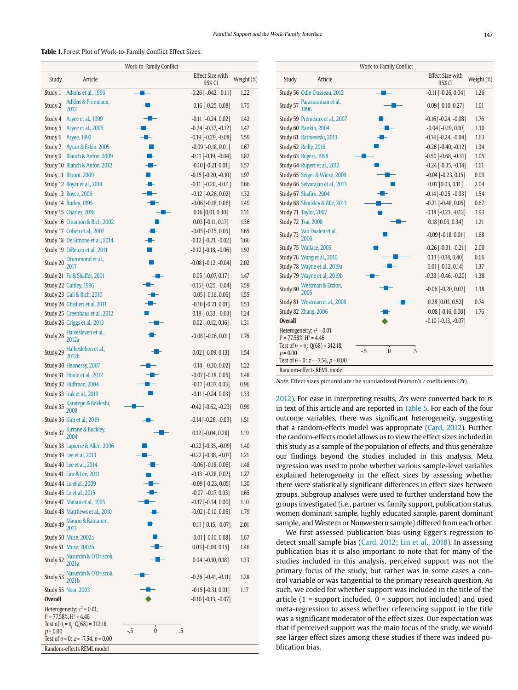#### **Table 1.** Forest Plot of Work-to-Family Conflict Effect Sizes.

|                |                                                 | Work-to-Family Conflict |                                                 |              |
|----------------|-------------------------------------------------|-------------------------|-------------------------------------------------|--------------|
| Study          | Article                                         |                         | <b>Effect Size with</b><br>95% CI               | Weight (%)   |
| Study 1        | Adams et al., 1996                              |                         | $-0.26$ $[-.042, -0.11]$                        | 1.22         |
| Study 2        | Adkins & Premeaux,<br>2012                      |                         | $-0.16$ $[-0.25, 0.08]$                         | 1.75         |
| Study 4        | Aryee et al., 1999                              |                         | $-0.11$ $[-0.24, 0.02]$                         | 1.42         |
| Study 5        | Aryee et al., 2005                              |                         | $-0.24$ $[-0.37, -0.12]$                        | 1.47         |
| Study 6        | Aryee, 1992                                     |                         | $-0.19$ $[-0.29, -0.08]$                        | 1.59         |
| Study 7        | Aycan & Eskin, 2005                             | - 1                     | $-0.09$ $[-0.18, 0.01]$                         | 1.67         |
| Study 9        | Blanch & Anton, 2009                            | ⊹                       | $-0.11$ $[-0.19, -0.04]$                        | 1.82         |
|                | Study 10 Blanch & Anton, 2012                   |                         | $-0.10$ $[-0.21, 0.01]$                         | 1.57         |
|                | Study 11 Blount, 2009                           |                         | $-0.15$ $[-0.20, -0.10]$                        | 1.97         |
|                | Study 12 Boyar et al., 2014                     |                         | $-0.11$ $[-0.20, -0.01]$                        | 1.66         |
|                | Study 13 Boyce, 2006                            |                         | $-0.12$ $[-0.26, 0.02]$                         | 1.32         |
|                | Study 14 Burley, 1995                           |                         | $-0.06$ $[-0.18, 0.06]$                         | 1.49         |
|                | Study 15 Charles, 2018                          |                         | $0.16$ [0.01, 0.30]                             | 1.31         |
|                | Study 16 Cinamon & Rich, 2002                   |                         | $0.03$ [-0.11, 0.17]                            | 1.36         |
|                | Study 17 Cohen et al., 2007                     |                         | $-0.05$ $[-0.15, 0.05]$                         | 1.65         |
|                | Study 18 De Simone et al., 2014                 |                         | $-0.12$ $[-0.21, -0.02]$                        | 1.66         |
|                | Study 19 DiRenzo et al., 2011                   |                         | $-0.12$ $[-0.18, -0.06]$                        | 1.92         |
| Study 20       | Drummond et al.,<br>2017                        |                         | $-0.08$ $[-0.12, -0.04]$                        | 2.02         |
|                | Study 21 Fu & Shaffer, 2001                     |                         | $0.05$ [-0.07, 0.17]                            | 1.47         |
|                | Study 22 Gaitley, 1996                          |                         | $-0.15$ $[-0.25, -0.04]$                        | 1.59         |
|                | Study 23 Gali & Rich, 2010                      |                         | $-0.05$ $[-0.16, 0.06]$                         | 1.55         |
|                | Study 24 Ghislieri et al, 2011                  |                         | $-0.10$ $[-0.21, 0.01]$                         | 1.53         |
|                | Study 25 Greenhaus et al., 2012                 |                         | $-0.18$ $[-0.33, -0.03]$                        | 1.24         |
|                | Study 26 Griggs et al., 2013                    |                         | $0.02$ [-0.12, 0.16]                            | 1.31         |
| Study 28       | Halvesleven et al.,<br>2012a                    |                         | $-0.08$ $[-0.16, 0.01]$                         | 1.76         |
|                | Study 29 Halbesleben et al.,<br>2012b           |                         | $0.02$ [-0.09, 0.13]                            | 1.54         |
|                | Study 30 Hennessy, 2007                         |                         | $-0.14$ $[-0.30, 0.02]$                         | 1.22         |
|                | Study 31 Houle et al., 2012                     |                         | $-0.07$ $[-0.18, 0.05]$                         | 1.48         |
|                | Study 32 Huffman, 2004                          |                         | $-0.17$ $[-0.37, 0.03]$                         | 0.96         |
|                | Study 33 Irak et al., 2019                      |                         | $-0.11$ $[-0.24, 0.03]$                         | 1.33         |
|                | Study 35 Karatepe & Bekleshi,                   |                         | $-0.42$ $[-0.62, -0.23]$                        | 0.99         |
|                | Study 36 Kim et al., 2019                       |                         | $-0.14$ $[-0.26, -0.03]$                        | 1.51         |
|                | Study 37 Kirrane & Buckley,                     |                         | $0.12$ [-0.04, 0.28]                            | 1.19         |
|                | Study 38 Lapierre & Allen, 2006                 |                         | $-0.22$ $[-0.35, -0.09]$                        | 1.40         |
|                | Study 39 Lee et al. 2013                        |                         | $-0.22$ $[-0.38, -0.07]$                        | 1.21         |
|                | Study 40 Lee et al., 2014                       | ╶                       | $-0.06$ $[-0.18, 0.06]$                         | 1.48         |
|                | Study 41 Lim & Lee, 2011                        |                         | $-0.13$ $[-0.28, 0.02]$                         | 1.27         |
|                | Study 44 Lu et al., 2009                        |                         | $-0.09$ $[-0.23, 0.05]$                         | 1.30         |
|                | Study 45 Lu et al., 2015                        |                         | $-0.07$ $[-0.17, 0.03]$                         | 1.65         |
|                | Study 47 Matsui et al., 1995                    |                         | $-0.17$ $[-0.34, 0.00]$                         | 1.10         |
|                | Study 48 Matthews et al., 2010                  |                         | $-0.02$ [ $-0.10, 0.06$ ]                       | 1.79         |
| Study 49       | Mauno & Rantanen,<br>2013                       |                         | $-0.11$ $[-0.15, -0.07]$                        | 2.01         |
|                | Study 50 Muse, 2002a<br>Study 51 Muse, 2002b    |                         | $-0.01$ $[-0.10, 0.08]$<br>$0.03$ [-0.09, 0.15] | 1.67<br>1.46 |
| Study 52       | Nasurdin & O'Driscoli,<br>2021a                 |                         | $0.04$ [-0.10, 0.18]                            | 1.33         |
|                | Study 53 Nasurdin & O'Driscoli,                 |                         | $-0.26$ $[-0.41, -0.11]$                        | 1.28         |
|                | <b>Study 55 Noor, 2003</b>                      |                         | $-0.15$ $[-0.31, 0.01]$                         | 1.17         |
| <b>Overall</b> |                                                 |                         | $-0.10$ $[-0.13, -0.07]$                        |              |
|                | Heterogeneity: $\tau^2$ = 0.01,                 |                         |                                                 |              |
|                | $1^2$ = 77.58%, $H^2$ = 4.46                    |                         |                                                 |              |
| $p = 0.00$     | Test of $\theta_i = \theta_i$ : Q(68) = 312.18, | $\pmb{0}$<br>$-5$<br>.5 |                                                 |              |
|                | Test of $\theta$ = 0: $z$ = -7.54, $p$ = 0.00   |                         |                                                 |              |
|                | Random-effects REML model                       |                         |                                                 |              |

|                |                                                                                                                    |      | Work-to-Family Conflict |    |                                   |            |
|----------------|--------------------------------------------------------------------------------------------------------------------|------|-------------------------|----|-----------------------------------|------------|
| Study          | Article                                                                                                            |      |                         |    | <b>Effect Size with</b><br>95% CI | Weight (%) |
|                | Study 56 Odle-Dusseau, 2012                                                                                        |      |                         |    | $-0.11$ $[-0.26, 0.04]$           | 1.26       |
| Study 57       | Parasuraman et al.,                                                                                                |      |                         |    | $0.09$ [-0.10, 0.27]              | 1.01       |
|                | Study 59 Premeaux et al., 2007                                                                                     |      |                         |    | $-0.16$ $[-0.24, -0.08]$          | 1.76       |
|                | Study 60 Rankin, 2004                                                                                              |      |                         |    | $-0.04$ $[-0.19, 0.10]$           | 1.30       |
|                | Study 61 Ratniewski, 2013                                                                                          |      |                         |    | $-0.14$ $[-0.24, -0.04]$          | 1.63       |
|                | Study 62 Reilly, 2016                                                                                              |      |                         |    | $-0.26$ $[-0.40, -0.12]$          | 1.34       |
|                | Study 63 Rogers, 1998                                                                                              |      |                         |    | $-0.50$ $[-0.68, -0.31]$          | 1.05       |
|                | Study 64 Rupert et al., 2012                                                                                       |      |                         |    | $-0.24$ $[-0.35, -0.14]$          | 1.61       |
|                | Study 65 Seiger & Wiese, 2009                                                                                      |      |                         |    | $-0.04$ $[-0.23, 0.15]$           | 0.99       |
|                | Study 66 Selvarajan et al., 2013                                                                                   |      |                         |    | $0.07$ [0.03, 0.11]               | 2.04       |
|                | Study 67 Shafiro, 2004                                                                                             |      |                         |    | $-0.14$ $[-0.25, -0.03]$          | 1.54       |
|                | Study 68 Shockley & Alle, 2013                                                                                     |      |                         |    | $-0.21$ $[-0.48, 0.05]$           | 0.67       |
|                | Study 71 Taylor, 2007                                                                                              |      |                         |    | $-0.18$ $[-0.23, -0.12]$          | 1.93       |
|                | Study 72 Tsai, 2008                                                                                                |      |                         |    | $0.18$ [0.03, 0.34]               | 1.21       |
| Study 73       | Van Daalen et al.,<br>2006                                                                                         |      |                         |    | $-0.09$ $[-0.18, 0.01]$           | 1.68       |
|                | Study 75 Wallace, 2005                                                                                             |      |                         |    | $-0.26$ $[-0.31, -0.21]$          | 2.00       |
|                | Study 76 Wang et al., 2010                                                                                         |      |                         |    | $0.13$ [-0.14, 0.40]              | 0.66       |
|                | Study 78 Wayne et al., 2019a                                                                                       |      |                         |    | $0.01$ [-0.12, 0.14]              | 1.37       |
|                | Study 79 Wayne et al., 2019b                                                                                       |      |                         |    | $-0.33$ $[-0.46, -0.20]$          | 1.38       |
| Study 80       | Westman & Etzion,<br>2005                                                                                          |      |                         |    | $-0.06$ $[-0.20, 0.07]$           | 1.38       |
|                | Study 81 Westman et al., 2008                                                                                      |      |                         |    | $0.28$ [0.03, 0.52]               | 0.74       |
|                | Study 82 Zhang, 2006                                                                                               |      |                         |    | $-0.08$ $[-0.16, 0.00]$           | 1.76       |
| <b>Overall</b> |                                                                                                                    |      |                         |    | $-0.10$ $[-0.13, -0.07]$          |            |
|                | Heterogeneity: $\tau^2$ = 0.01,<br>$1^2$ = 77.58%, $H^2$ = 4.46<br>Test of $\theta_i = \theta_i$ : Q(68) = 312.18, |      |                         |    |                                   |            |
| $p = 0.00$     |                                                                                                                    | $-5$ | $\mathbf{0}$            | .5 |                                   |            |
|                | Test of $\theta$ = 0: $z$ = -7.54, $p$ = 0.00                                                                      |      |                         |    |                                   |            |
|                | Random-effects REML model                                                                                          |      |                         |    |                                   |            |

Note. Effect sizes pictured are the standardized Pearson's r coefficients (Zr).

2012). For ease in interpreting results, Zrs were converted back to rs in text of this article and are reported in Table 5. For each of the four outcome variables, there was significant heterogeneity, suggesting that a random-effects model was appropriate (Card, 2012). Further, the random-effects model allows us to view the effect sizes included in this study as a sample of the population of effects, and thus generalize our findings beyond the studies included in this analysis. Meta regression was used to probe whether various sample-level variables explained heterogeneity in the effect sizes by assessing whether there were statistically significant differences in effect sizes between groups. Subgroup analyses were used to further understand how the groups investigated (i.e., partner vs. family support, publication status, women dominant sample, highly educated sample, parent dominant sample, and Western or Nonwestern sample) differed from each other.

We first assessed publication bias using Egger's regression to detect small sample bias (Card, 2012; Lin et al., 2018). In assessing publication bias it is also important to note that for many of the studies included in this analysis, perceived support was not the primary focus of the study, but rather was in some cases a control variable or was tangential to the primary research question. As such, we coded for whether support was included in the title of the article  $(1 =$  support included,  $0 =$  support not included) and used meta-regression to assess whether referencing support in the title was a significant moderator of the effect sizes. Our expectation was that if perceived support was the main focus of the study, we would see larger effect sizes among these studies if there was indeed publication bias.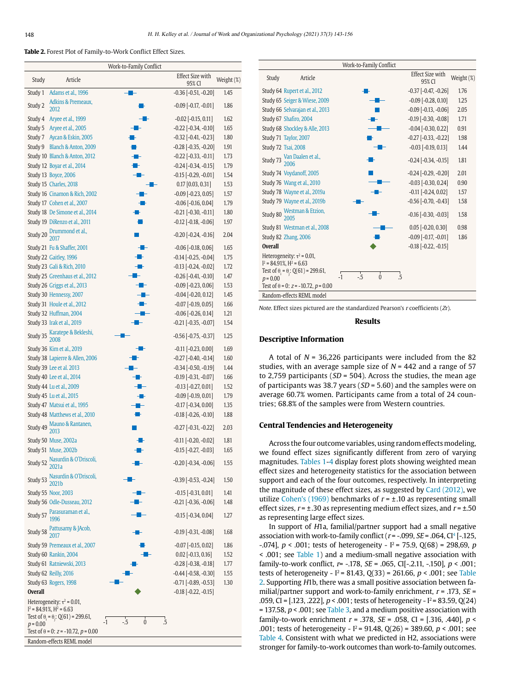**Table 2.** Forest Plot of Family-to-Work Conflict Effect Sizes.

|                |                                                                 | Work-to-Family Conflict            |                                   |            |
|----------------|-----------------------------------------------------------------|------------------------------------|-----------------------------------|------------|
| Study          | Article                                                         |                                    | <b>Effect Size with</b><br>95% CI | Weight (%) |
| Study 1        | Adams et al., 1996                                              |                                    | $-0.36[-0.51, -0.20]$             | 1.45       |
| Study 2        | Adkins & Premeaux,<br>2012                                      |                                    | $-0.09$ $[-0.17, -0.01]$          | 1.86       |
| Study 4        | Aryee et al., 1999                                              |                                    | $-0.02$ $[-0.15, 0.11]$           | 1.62       |
| Study 5        | Aryee et al., 2005                                              |                                    | $-0.22$ $[-0.34, -0.10]$          | 1.65       |
| Study 7        | Aycan & Eskin, 2005                                             |                                    | $-0.32$ $[-0.41, -0.23]$          | 1.80       |
| Study 9        | Blanch & Anton, 2009                                            |                                    | $-0.28$ $[-0.35, -0.20]$          | 1.91       |
|                | Study 10 Blanch & Anton, 2012                                   |                                    | $-0.22$ $[-0.33, -0.11]$          | 1.73       |
|                | Study 12 Boyar et al., 2014                                     | H                                  | $-0.24$ $[-0.34, -0.15]$          | 1.79       |
|                | Study 13 Boyce, 2006                                            |                                    | $-0.15$ $[-0.29, -0.01]$          | 1.54       |
|                | Study 15 Charles, 2018                                          |                                    | $0.17$ [0.03, 0.31]               | 1.53       |
|                | Study 16 Cinamon & Rich, 2002                                   |                                    | $-0.09$ $[-0.23, 0.05]$           | 1.57       |
|                | Study 17 Cohen et al., 2007                                     |                                    | $-0.06$ $[-0.16, 0.04]$           | 1.79       |
|                | Study 18 De Simone et al., 2014                                 |                                    | $-0.21$ $[-0.30, -0.11]$          | 1.80       |
|                | Study 19 DiRenzo et al., 2011                                   |                                    | $-0.12$ $[-0.18, -0.06]$          | 1.97       |
| Study 20       | Drummond et al.,<br>2017                                        |                                    | $-0.20$ $[-0.24, -0.16]$          | 2.04       |
|                | Study 21 Fu & Shaffer, 2001                                     |                                    | $-0.06$ $[-0.18, 0.06]$           | 1.65       |
|                | Study 22 Gaitley, 1996                                          |                                    | $-0.14$ $[-0.25, -0.04]$          | 1.75       |
|                | Study 23 Gali & Rich, 2010                                      |                                    | $-0.13$ $[-0.24, -0.02]$          | 1.72       |
|                | Study 25 Greenhaus et al., 2012                                 |                                    | $-0.26$ $[-0.41, -0.10]$          | 1.47       |
|                | Study 26 Griggs et al., 2013                                    |                                    | $-0.09$ $[-0.23, 0.06]$           | 1.53       |
|                | Study 30 Hennessy, 2007                                         |                                    | $-0.04$ $[-0.20, 0.12]$           | 1.45       |
|                | Study 31 Houle et al., 2012                                     |                                    | $-0.07$ $[-0.19, 0.05]$           | 1.66       |
|                | Study 32 Huffman, 2004                                          |                                    | $-0.06$ $[-0.26, 0.14]$           | 1.21       |
|                | Study 33 Irak et al., 2019                                      |                                    | $-0.21$ $[-0.35, -0.07]$          | 1.54       |
| Study 35       | Karatepe & Bekleshi,<br>2008                                    |                                    | $-0.56$ $[-0.75, -0.37]$          | 1.25       |
|                | Study 36 Kim et al., 2019                                       |                                    | $-0.11$ $[-0.23, 0.00]$           | 1.69       |
|                | Study 38 Lapierre & Allen, 2006                                 |                                    | $-0.27$ $[-0.40, -0.14]$          | 1.60       |
|                | Study 39 Lee et al. 2013                                        |                                    | $-0.34$ $[-0.50, -0.19]$          | 1.44       |
|                | Study 40 Lee et al., 2014                                       |                                    | $-0.19$ $[-0.31, -0.07]$          | 1.66       |
|                | Study 44 Lu et al., 2009                                        |                                    | $-0.13$ $[-0.27, 0.01]$           | 1.52       |
|                | Study 45 Lu et al., 2015                                        | s.                                 | $-0.09$ $[-0.19, 0.01]$           | 1.79       |
|                | Study 47 Matsui et al., 1995                                    |                                    | $-0.17$ $[-0.34, 0.00]$           | 1.35       |
|                | Study 48 Matthews et al., 2010                                  |                                    | $-0.18$ $[-0.26, -0.10]$          | 1.88       |
|                | Study 49 Mauno & Rantanen,                                      |                                    | $-0.27$ $[-0.31, -0.22]$          | 2.03       |
|                | Study 50 Muse, 2002a                                            |                                    | $-0.11$ $[-0.20, -0.02]$          | 1.81       |
|                | Study 51 Muse, 2002b                                            |                                    | $-0.15$ [ $-0.27$ , $-0.03$ ]     | 1.65       |
| Study 52       | Nasurdin & O'Driscoli,<br>2021a                                 |                                    | $-0.20$ $[-0.34, -0.06]$          | 1.55       |
| Study 53       | Nasurdin & O'Driscoli,<br>2021b                                 |                                    | $-0.39$ $[-0.53, -0.24]$          | 1.50       |
|                | Study 55 Noor, 2003                                             |                                    | $-0.15$ $[-0.31, 0.01]$           | 1.41       |
|                | Study 56 Odle-Dusseau, 2012                                     |                                    | $-0.21$ $[-0.36, -0.06]$          | 1.48       |
| Study 57       | Parasuraman et al.,<br>1996                                     |                                    | $-0.15$ $[-0.34, 0.04]$           | 1.27       |
|                | Study 58 Pattusamy & JAcob,                                     |                                    | $-0.19$ $[-0.31, -0.08]$          | 1.68       |
|                | Study 59 Premeaux et al., 2007                                  |                                    | $-0.07$ $[-0.15, 0.02]$           | 1.86       |
|                | Study 60 Rankin, 2004                                           |                                    | $0.02$ [-0.13, 0.16]              | 1.52       |
|                | Study 61 Ratniewski, 2013                                       |                                    | $-0.28[-0.38, -0.18]$             | 1.77       |
|                | Study 62 Reilly, 2016                                           |                                    | $-0.44$ $[-0.58, -0.30]$          | 1.55       |
|                | Study 63 Rogers, 1998                                           |                                    | $-0.71$ $[-0.89, -0.53]$          | 1.30       |
| <b>Overall</b> |                                                                 |                                    | $-0.18$ $[-0.22, -0.15]$          |            |
|                | Heterogeneity: $\tau^2$ = 0.01,<br>$I^2$ = 84.91%, $H^2$ = 6.63 |                                    |                                   |            |
|                | Test of $\theta_1 = \theta_2$ : Q(61) = 299.61,                 | $\mathbf{0}$<br>$-5$<br>.5<br>$-1$ |                                   |            |
| $p = 0.00$     | Test of $\theta$ = 0: $z$ = -10.72, $p$ = 0.00                  |                                    |                                   |            |
|                | Random-effects REML model                                       |                                    |                                   |            |

|                |                                                                                                                      | Work-to-Family Conflict |                |                                   |            |
|----------------|----------------------------------------------------------------------------------------------------------------------|-------------------------|----------------|-----------------------------------|------------|
| Study          | Article                                                                                                              |                         |                | <b>Effect Size with</b><br>95% CI | Weight (%) |
|                | Study 64 Rupert et al., 2012                                                                                         |                         |                | $-0.37$ $[-0.47, -0.26]$          | 1.76       |
|                | Study 65 Seiger & Wiese, 2009                                                                                        |                         |                | $-0.09$ $[-0.28, 0.10]$           | 1.25       |
|                | Study 66 Selvarajan et al., 2013                                                                                     |                         |                | $-0.09$ $[-0.13, -0.06]$          | 2.05       |
|                | Study 67 Shafiro, 2004                                                                                               |                         |                | $-0.19$ $[-0.30, -0.08]$          | 1.71       |
|                | Study 68 Shockley & Alle, 2013                                                                                       |                         |                | $-0.04$ $[-0.30, 0.22]$           | 0.91       |
|                | Study 71 Taylor, 2007                                                                                                |                         |                | $-0.27$ $[-0.33, -0.22]$          | 1.98       |
|                | Study 72 Tsai, 2008                                                                                                  |                         |                | $-0.03$ $[-0.19, 0.13]$           | 1.44       |
|                | Study 73 Van Daalen et al.,<br>2006                                                                                  |                         |                | $-0.24$ $[-0.34, -0.15]$          | 1.81       |
|                | Study 74 Voydanoff, 2005                                                                                             |                         |                | $-0.24$ $[-0.29, -0.20]$          | 2.01       |
|                | Study 76 Wang et al., 2010                                                                                           |                         |                | $-0.03$ $[-0.30, 0.24]$           | 0.90       |
|                | Study 78 Wayne et al., 2019a                                                                                         |                         |                | $-0.11$ $[-0.24, 0.02]$           | 1.57       |
|                | Study 79 Wayne et al., 2019b                                                                                         |                         |                | $-0.56$ $[-0.70, -0.43]$          | 1.58       |
| Study 80       | Westman & Etzion,                                                                                                    |                         |                | $-0.16$ $[-0.30, -0.03]$          | 1.58       |
|                | Study 81 Westman et al., 2008                                                                                        |                         |                | $0.05$ [-0.20, 0.30]              | 0.98       |
|                | Study 82 Zhang, 2006                                                                                                 |                         |                | $-0.09$ $[-0.17, -0.01]$          | 1.86       |
| <b>Overall</b> |                                                                                                                      |                         |                | $-0.18$ $[-0.22, -0.15]$          |            |
|                | Heterogeneity: $\tau^2$ = 0.01,<br>$I^2 = 84.91\%$ , $H^2 = 6.63$<br>Test of $\theta_i = \theta_i$ : Q(61) = 299.61, |                         |                |                                   |            |
| $p = 0.00$     |                                                                                                                      | $-5$<br>$-1$            | $\Omega$<br>.5 |                                   |            |
|                | Test of $\theta$ = 0; z = -10.72, p = 0.00                                                                           |                         |                |                                   |            |
|                | Random-effects REML model                                                                                            |                         |                |                                   |            |
|                |                                                                                                                      |                         |                |                                   |            |

Note. Effect sizes pictured are the standardized Pearson's r coefficients (Zr).

#### **Results**

#### **Descriptive Information**

A total of  $N = 36,226$  participants were included from the 82 studies, with an average sample size of  $N = 442$  and a range of 57 to 2,759 participants ( $SD = 504$ ). Across the studies, the mean age of participants was 38.7 years ( $SD = 5.60$ ) and the samples were on average 60.7% women. Participants came from a total of 24 countries; 68.8% of the samples were from Western countries.

#### **Central Tendencies and Heterogeneity**

Across the four outcome variables, using random effects modeling, we found effect sizes significantly different from zero of varying magnitudes. Tables 1-4 display forest plots showing weighted mean effect sizes and heterogeneity statistics for the association between support and each of the four outcomes, respectively. In interpreting the magnitude of these effect sizes, as suggested by Card (2012), we utilize Cohen's (1969) benchmarks of  $r = \pm .10$  as representing small effect sizes,  $r = \pm .30$  as representing medium effect sizes, and  $r = \pm .50$ as representing large effect sizes.

In support of H1a, familial/partner support had a small negative association with work-to-family conflict ( $r = -0.099$ ,  $SE = 0.064$ , CI<sup>4</sup> [ $-0.125$ , -.074],  $p < .001$ ; tests of heterogeneity -  $I^2 = 75.9$ , Q(68) = 298,69, p < .001; see Table 1) and a medium-small negative association with family-to-work conflict,  $r$ = -.178,  $SE$  = .065, CI[-.2.11, -.150],  $p < .001$ ; tests of heterogeneity -  $I^2$  = 81.43, Q(33) = 261.66, p < .001; see Table 2. Supporting H1b, there was a small positive association between familial/partner support and work-to-family enrichment,  $r = .173$ ,  $SE =$ .059, CI = [.123, .222], p < .001; tests of heterogeneity - I2 = 83.59, Q(24) = 137.58,  $p < .001$ ; see Table 3, and a medium positive association with family-to-work enrichment  $r = .378$ ,  $SE = .058$ , CI = [.316, .440],  $p <$ .001; tests of heterogeneity -  $I^2$  = 91.48, Q(26) = 389.60, p < .001; see Table 4. Consistent with what we predicted in H2, associations were stronger for family-to-work outcomes than work-to-family outcomes.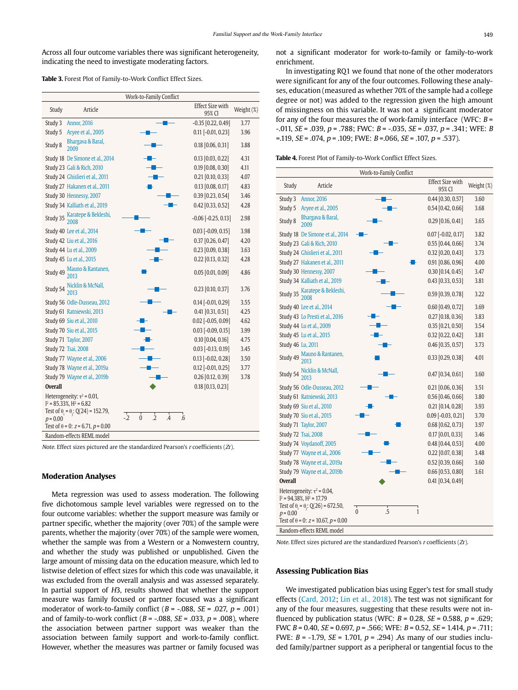Across all four outcome variables there was significant heterogeneity, indicating the need to investigate moderating factors.

| Table 3. Forest Plot of Family-to-Work Conflict Effect Sizes. |
|---------------------------------------------------------------|
|---------------------------------------------------------------|

|                |                                                                                                                                                                    | Work-to-Family Conflict                             |                                   |            |
|----------------|--------------------------------------------------------------------------------------------------------------------------------------------------------------------|-----------------------------------------------------|-----------------------------------|------------|
| Study          | Article                                                                                                                                                            |                                                     | <b>Effect Size with</b><br>95% CI | Weight (%) |
| Study 3        | <b>Annor</b> , 2016                                                                                                                                                |                                                     | $-0.35$ [0.22, 0.49]              | 3.77       |
| Study 5        | Aryee et al., 2005                                                                                                                                                 |                                                     | $0.11$ [-0.01, 0.23]              | 3.96       |
| Study 8        | Bhargava & Baral,<br>2009                                                                                                                                          |                                                     | $0.18$ [0.06, 0.31]               | 3.88       |
|                | Study 18 De Simone et al., 2014                                                                                                                                    |                                                     | $0.13$ [0.03, 0.22]               | 4.31       |
|                | Study 23 Gali & Rich, 2010                                                                                                                                         |                                                     | 0.19 [0.08, 0.30]                 | 4.11       |
|                | Study 24 Ghislieri et al., 2011                                                                                                                                    |                                                     | $0.21$ [0.10, 0.33]               | 4.07       |
|                | Study 27 Hakanen et al., 2011                                                                                                                                      |                                                     | $0.13$ [0.08, 0.17]               | 4.83       |
|                | Study 30 Hennessy, 2007                                                                                                                                            |                                                     | $0.39$ [0.23, 0.54]               | 3.46       |
|                | Study 34 Kalliath et al., 2019                                                                                                                                     |                                                     | 0.42 [0.33, 0.52]                 | 4.28       |
|                | Study 35 Karatepe & Bekleshi,                                                                                                                                      |                                                     | $-0.06$ $[-0.25, 0.13]$           | 2.98       |
|                | Study 40 Lee et al., 2014                                                                                                                                          |                                                     | $0.03$ [-0.09, 0.15]              | 3.98       |
|                | Study 42 Liu et al., 2016                                                                                                                                          |                                                     | $0.37$ [0.26, 0.47]               | 4.20       |
|                | Study 44 Lu et al., 2009                                                                                                                                           |                                                     | 0.23 [0.09, 0.38]                 | 3.63       |
|                | Study 45 Lu et al., 2015                                                                                                                                           |                                                     | $0.22$ [0.13, 0.32]               | 4.28       |
|                | Study 49 Mauno & Rantanen,<br>2013                                                                                                                                 |                                                     | $0.05$ [0.01, 0.09]               | 4.86       |
|                | Study 54 Nicklin & McNall,                                                                                                                                         |                                                     | $0.23$ [0.10, 0.37]               | 3.76       |
|                | Study 56 Odle-Dusseau, 2012                                                                                                                                        |                                                     | $0.14$ [-0.01, 0.29]              | 3.55       |
|                | Study 61 Ratniewski, 2013                                                                                                                                          |                                                     | $0.41$ [0.31, 0.51]               | 4.25       |
|                | Study 69 Siu et al., 2010                                                                                                                                          |                                                     | $0.02$ [-0.05, 0.09]              | 4.62       |
|                | Study 70 Siu et al., 2015                                                                                                                                          |                                                     | $0.03$ [-0.09, 0.15]              | 3.99       |
|                | Study 71 Taylor, 2007                                                                                                                                              |                                                     | $0.10$ $[0.04, 0.16]$             | 4.75       |
|                | Study 72 Tsai, 2008                                                                                                                                                |                                                     | $0.03$ [-0.13, 0.19]              | 3.45       |
|                | Study 77 Wayne et al., 2006                                                                                                                                        |                                                     | $0.13$ [-0.02, 0.28]              | 3.50       |
|                | Study 78 Wayne et al., 2019a                                                                                                                                       |                                                     | $0.12$ [-0.01, 0.25]              | 3.77       |
|                | Study 79 Wayne et al., 2019b                                                                                                                                       |                                                     | $0.26$ [0.12, 0.39]               | 3.78       |
| <b>Overall</b> |                                                                                                                                                                    |                                                     | $0.18$ [0.13, 0.23]               |            |
| $p = 0.00$     | Heterogeneity: $\tau^2$ = 0.01,<br>$1^2$ = 85.33%, $H^2$ = 6.82<br>Test of $\theta_1 = \theta_2$ ; Q(24) = 152.79,<br>Test of $\theta$ = 0: $z$ = 6.71, $p$ = 0.00 | $-2$<br>$\overline{2}$<br>$\overline{A}$<br>.6<br>0 |                                   |            |
|                | Random-effects REML model                                                                                                                                          |                                                     |                                   |            |

Note. Effect sizes pictured are the standardized Pearson's  $r$  coefficients ( $Zr$ ).

#### **Moderation Analyses**

Meta regression was used to assess moderation. The following five dichotomous sample level variables were regressed on to the four outcome variables: whether the support measure was family or partner specific, whether the majority (over 70%) of the sample were parents, whether the majority (over 70%) of the sample were women, whether the sample was from a Western or a Nonwestern country, and whether the study was published or unpublished. Given the large amount of missing data on the education measure, which led to listwise deletion of effect sizes for which this code was unavailable, it was excluded from the overall analysis and was assessed separately. In partial support of H3, results showed that whether the support measure was family focused or partner focused was a significant moderator of work-to-family conflict ( $B = -.088$ ,  $SE = .027$ ,  $p = .001$ ) and of family-to-work conflict ( $B = -.088$ ,  $SE = .033$ ,  $p = .008$ ), where the association between partner support was weaker than the association between family support and work-to-family conflict. However, whether the measures was partner or family focused was

not a significant moderator for work-to-family or family-to-work enrichment.

In investigating RQ1 we found that none of the other moderators were significant for any of the four outcomes. Following these analyses, education (measured as whether 70% of the sample had a college degree or not) was added to the regression given the high amount of missingness on this variable. It was not a significant moderator for any of the four measures the of work-family interface (WFC:  $B =$  $-0.011$ ,  $SE = 0.039$ ,  $p = 0.788$ ; FWC:  $B = -0.035$ ,  $SE = 0.037$ ,  $p = 0.341$ ; WFE: B  $=$ .119, *SE* = .074, *p* = .109; FWE: *B* = .066, *SE* = .107, *p* = .537).

| Table 4. Forest Plot of Family-to-Work Conflict Effect Sizes. |
|---------------------------------------------------------------|
|---------------------------------------------------------------|

|                                                                                                                                                                                                                 | Work-to-Family Conflict |                                   |            |
|-----------------------------------------------------------------------------------------------------------------------------------------------------------------------------------------------------------------|-------------------------|-----------------------------------|------------|
| Study<br>Article                                                                                                                                                                                                |                         | <b>Effect Size with</b><br>95% CI | Weight (%) |
| Study 3<br><b>Annor, 2016</b>                                                                                                                                                                                   |                         | $0.44$ [0.30, 0.57]               | 3.60       |
| Study 5<br>Aryee et al., 2005                                                                                                                                                                                   |                         | $0.54$ [0.42, 0.66]               | 3.68       |
| Bhargava & Baral,<br>Study 8<br>2009                                                                                                                                                                            |                         | $0.29$ [0.16, 0.41]               | 3.65       |
| Study 18 De Simone et al., 2014                                                                                                                                                                                 |                         | $0.07$ [-0.02, 0.17]              | 3.82       |
| Study 23 Gali & Rich, 2010                                                                                                                                                                                      |                         | $0.55$ [0.44, 0.66]               | 3.74       |
| Study 24 Ghislieri et al., 2011                                                                                                                                                                                 |                         | $0.32$ [0.20, 0.43]               | 3.73       |
| Study 27 Hakanen et al., 2011                                                                                                                                                                                   |                         | 0.91 [0.86, 0.96]                 | 4.00       |
| Study 30 Hennessy, 2007                                                                                                                                                                                         |                         | $0.30$ [0.14, 0.45]               | 3.47       |
| Study 34 Kalliath et al., 2019                                                                                                                                                                                  |                         | $0.43$ [0.33, 0.53]               | 3.81       |
| Study 35 Karatepe & Bekleshi,<br>2008                                                                                                                                                                           |                         | 0.59 [0.39, 0.78]                 | 3.22       |
| Study 40 Lee et al., 2014                                                                                                                                                                                       |                         | $0.60$ [0.49, 0.72]               | 3.69       |
| Study 43 Lo Presti et al., 2016                                                                                                                                                                                 |                         | $0.27$ [0.18, 0.36]               | 3.83       |
| Study 44 Lu et al., 2009                                                                                                                                                                                        |                         | $0.35$ [0.21, 0.50]               | 3.54       |
| Study 45 Lu et al., 2015                                                                                                                                                                                        |                         | $0.32$ [0.22, 0.42]               | 3.81       |
| Study 46 Lu, 2011                                                                                                                                                                                               |                         | $0.46$ [0.35, 0.57]               | 3.73       |
| Mauno & Rantanen,<br>Study 49<br>2013                                                                                                                                                                           |                         | 0.33 [0.29, 0.38]                 | 4.01       |
| Study 54 Nicklin & McNall,                                                                                                                                                                                      |                         | $0.47$ [0.34, 0.61]               | 3.60       |
| Study 56 Odle-Dusseau, 2012                                                                                                                                                                                     |                         | $0.21$ [0.06, 0.36]               | 3.51       |
| Study 61 Ratniewski, 2013                                                                                                                                                                                       |                         | $0.56$ [0.46, 0.66]               | 3.80       |
| Study 69 Siu et al., 2010                                                                                                                                                                                       |                         | $0.21$ [0.14, 0.28]               | 3.93       |
| Study 70 Siu et al., 2015                                                                                                                                                                                       |                         | $0.09$ [-0.03, 0.21]              | 3.70       |
| Study 71 Taylor, 2007                                                                                                                                                                                           |                         | $0.68$ [0.62, 0.73]               | 3.97       |
| <b>Study 72 Tsai, 2008</b>                                                                                                                                                                                      |                         | $0.17$ [0.01, 0.33]               | 3.46       |
| Study 74 Voydanoff, 2005                                                                                                                                                                                        |                         | 0.48 [0.44, 0.53]                 | 4.00       |
| Study 77 Wayne et al., 2006                                                                                                                                                                                     |                         | $0.22$ [0.07, 0.38]               | 3.48       |
| Study 78 Wayne et al., 2019a                                                                                                                                                                                    |                         | $0.52$ [0.39, 0.66]               | 3.60       |
| Study 79 Wayne et al., 2019b                                                                                                                                                                                    |                         | $0.66$ [0.53, 0.80]               | 3.61       |
| <b>Overall</b>                                                                                                                                                                                                  |                         | $0.41$ [0.34, 0.49]               |            |
| Heterogeneity: $\tau^2$ = 0.04,<br>$1^2$ = 94.38%, $H^2$ = 17.79<br>Test of $\theta_i = \theta_i$ : Q(26) = 672.50,<br>$p = 0.00$<br>Test of $\theta$ = 0: $z$ = 10.67, $p$ = 0.00<br>Dandom offects DEMI model | .5<br>$\theta$<br>1     |                                   |            |

Random-effects REML model

Note. Effect sizes pictured are the standardized Pearson's r coefficients (Zr).

#### **Assessing Publication Bias**

We investigated publication bias using Egger's test for small study effects (Card, 2012; Lin et al., 2018). The test was not significant for any of the four measures, suggesting that these results were not influenced by publication status (WFC:  $B = 0.28$ ,  $SE = 0.588$ ,  $p = .629$ ; FWC  $B = 0.40$ ,  $SE = 0.697$ ,  $p = .566$ ; WFE:  $B = 0.52$ ,  $SE = 1.414$ ,  $p = .711$ ; FWE:  $B = -1.79$ ,  $SE = 1.701$ ,  $p = .294$ ). As many of our studies included family/partner support as a peripheral or tangential focus to the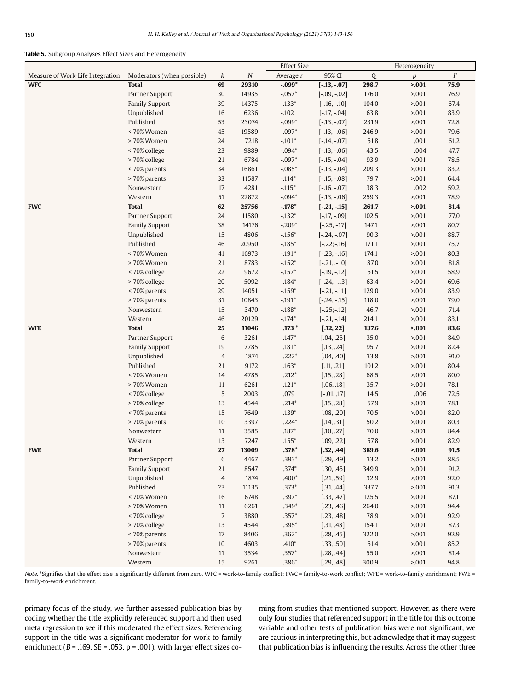#### **Table 5.** Subgroup Analyses Effect Sizes and Heterogeneity

| $I\!\!P$<br>Measure of Work-Life Integration<br>Moderators (when possible)<br>$\cal N$<br>95% CI<br>$\mathbf Q$<br>k<br>Average r<br>$\boldsymbol{p}$<br>$-.099*$<br>298.7<br>5.001<br>75.9<br><b>WFC</b><br><b>Total</b><br>69<br>29310<br>$[-.13, -.07]$<br>Partner Support<br>30<br>14935<br>$-.057*$<br>176.0<br>5.001<br>76.9<br>$[-.09, -.02]$<br><b>Family Support</b><br>14375<br>$-.133*$<br>67.4<br>39<br>$[-.16, -.10]$<br>104.0<br>> 0.001<br>Unpublished<br>16<br>6236<br>$-.102$<br>63.8<br>5.001<br>83.9<br>$[-.17, -.04]$<br>Published<br>53<br>23074<br>$-.099*$<br>231.9<br>5.001<br>72.8<br>$[-.13, -.07]$<br>< 70% Women<br>45<br>19589<br>$-.097*$<br>246.9<br>79.6<br>$[-.13, -.06]$<br>> 0.001<br>> 70% Women<br>7218<br>$-.101*$<br>51.8<br>.001<br>61.2<br>24<br>$[-.14, -.07]$<br>< 70% college<br>23<br>9889<br>$-.094*$<br>.004<br>47.7<br>$[-.13, -.06]$<br>43.5<br>> 70% college<br>21<br>6784<br>$-.097*$<br>93.9<br>5.001<br>78.5<br>$[-.15, -.04]$<br>< 70% parents<br>34<br>16861<br>$-.085*$<br>209.3<br>5.001<br>83.2<br>$[-.13, -.04]$<br>> 70% parents<br>33<br>11587<br>$-.114*$<br>79.7<br>5.001<br>64.4<br>$[-.15, -.08]$<br>17<br>4281<br>$-.115*$<br>38.3<br>.002<br>59.2<br>Nonwestern<br>$[-.16, -.07]$<br>Western<br>51<br>22872<br>$-.094*$<br>259.3<br>78.9<br>> 0.001<br>$[-.13, -.06]$<br><b>Total</b><br>62<br>25756<br>$-.178*$<br>261.7<br>81.4<br><b>FWC</b><br>$[-.21, -.15]$<br>5.001<br>24<br>11580<br>$-.132*$<br>102.5<br>77.0<br>Partner Support<br>$[-.17, -0.09]$<br>> 0.001<br>38<br>14176<br>$-.209*$<br>147.1<br>5.001<br>80.7<br><b>Family Support</b><br>$[-.25, -17]$<br>Unpublished<br>15<br>4806<br>$-.156*$<br>90.3<br>5.001<br>88.7<br>$[-.24, -.07]$<br>Published<br>46<br>20950<br>$-.185*$<br>171.1<br>5.001<br>75.7<br>$[-.22;-.16]$<br>< 70% Women<br>41<br>16973<br>$-.191*$<br>174.1<br>5.001<br>80.3<br>$[-.23, -.16]$<br>21<br>8783<br>$-.152*$<br>87.0<br>81.8<br>> 70% Women<br>$[-.21, -10]$<br>> 0.001<br>< 70% college<br>22<br>9672<br>$-.157*$<br>51.5<br>5.001<br>58.9<br>$[-.19, -.12]$<br>> 70% college<br>20<br>5092<br>$-.184*$<br>63.4<br>> 0.01<br>69.6<br>$[-.24, -.13]$<br>< 70% parents<br>29<br>14051<br>$-.159*$<br>129.0<br>83.9<br>$[-.21, -.11]$<br>> 0.001<br>31<br>10843<br>$-.191*$<br>118.0<br>79.0<br>> 70% parents<br>> 0.001<br>$[-.24, -.15]$<br>15<br>3470<br>$-.188*$<br>46.7<br>71.4<br>Nonwestern<br>$[-.25;-.12]$<br>> 0.001<br>Western<br>46<br>20129<br>$-.174*$<br>214.1<br>> 0.01<br>83.1<br>$[-.21, -.14]$<br><b>WFE</b><br><b>Total</b><br>25<br>11046<br>$.173*$<br>137.6<br>5.001<br>83.6<br>[.12, 22]<br>Partner Support<br>6<br>3261<br>$.147*$<br>35.0<br>>.001<br>84.9<br>[.04, .25]<br>7785<br><b>Family Support</b><br>19<br>$.181*$<br>95.7<br>>.001<br>82.4<br>[.13, .24]<br>$.222*$<br>$\overline{4}$<br>1874<br>33.8<br>91.0<br>Unpublished<br>[.04, .40]<br>> 0.001<br>Published<br>21<br>9172<br>$.163*$<br>101.2<br>>.001<br>80.4<br>[.11, .21]<br>< 70% Women<br>4785<br>$.212*$<br>68.5<br>80.0<br>14<br>[.15, .28]<br>> 0.001<br>> 70% Women<br>6261<br>$.121*$<br>35.7<br>>.001<br>78.1<br>11<br>[.06, .18]<br>5<br>< 70% college<br>2003<br>.079<br>.006<br>72.5<br>$[-.01, .17]$<br>14.5<br>13<br>4544<br>$.214*$<br>57.9<br>78.1<br>> 70% college<br>[.15, .28]<br>> 0.001<br>15<br>7649<br>$.139*$<br>70.5<br>82.0<br>< 70% parents<br>[.08, .20]<br>> 0.001<br>> 70% parents<br>$10$<br>3397<br>$.224*$<br>50.2<br>80.3<br>[.14, .31]<br>> 0.001<br>Nonwestern<br>3585<br>$.187*$<br>70.0<br>>.001<br>84.4<br>11<br>[.10, .27]<br>13<br>7247<br>$.155*$<br>57.8<br>5.001<br>82.9<br>Western<br>[.09, .22]<br>27<br>$.378*$<br>91.5<br>13009<br>[.32, .44]<br>389.6<br>5.001<br><b>FWE</b><br><b>Total</b><br>$\,6$<br>33.2<br>Partner Support<br>4467<br>$.393*$<br>[.29, .49]<br>>.001<br>88.5<br><b>Family Support</b><br>21<br>8547<br>$.374*$<br>[.30, .45]<br>349.9<br>>.001<br>91.2<br>Unpublished<br>$\overline{4}$<br>1874<br>$.400*$<br>32.9<br>>.001<br>92.0<br>[.21, .59]<br>Published<br>23<br>11135<br>$.373*$<br>337.7<br>>.001<br>91.3<br>[.31, .44]<br>< 70% Women<br>16<br>6748<br>$.397*$<br>87.1<br>[.33, .47]<br>125.5<br>> 0.001<br>> 70% Women<br>6261<br>$.349*$<br>264.0<br>>.001<br>94.4<br>11<br>[.23, .46]<br>< 70% college<br>$\overline{7}$<br>3880<br>$.357*$<br>78.9<br>92.9<br>[.23, .48]<br>> 0.001<br>> 70% college<br>4544<br>$.395*$<br>>.001<br>87.3<br>13<br>[.31, .48]<br>154.1<br>< 70% parents<br>17<br>8406<br>$.362*$<br>[.28, .45]<br>322.0<br>>.001<br>92.9<br>> 70% parents<br>10<br>4603<br>$.410*$<br>51.4<br>[.33, .50]<br>> 0.001<br>85.2<br>Nonwestern<br>3534<br>$.357*$<br>55.0<br>81.4<br>11<br>[.28, .44]<br>> 0.001 |  |  | <b>Effect Size</b> |  | Heterogeneity |  |
|-------------------------------------------------------------------------------------------------------------------------------------------------------------------------------------------------------------------------------------------------------------------------------------------------------------------------------------------------------------------------------------------------------------------------------------------------------------------------------------------------------------------------------------------------------------------------------------------------------------------------------------------------------------------------------------------------------------------------------------------------------------------------------------------------------------------------------------------------------------------------------------------------------------------------------------------------------------------------------------------------------------------------------------------------------------------------------------------------------------------------------------------------------------------------------------------------------------------------------------------------------------------------------------------------------------------------------------------------------------------------------------------------------------------------------------------------------------------------------------------------------------------------------------------------------------------------------------------------------------------------------------------------------------------------------------------------------------------------------------------------------------------------------------------------------------------------------------------------------------------------------------------------------------------------------------------------------------------------------------------------------------------------------------------------------------------------------------------------------------------------------------------------------------------------------------------------------------------------------------------------------------------------------------------------------------------------------------------------------------------------------------------------------------------------------------------------------------------------------------------------------------------------------------------------------------------------------------------------------------------------------------------------------------------------------------------------------------------------------------------------------------------------------------------------------------------------------------------------------------------------------------------------------------------------------------------------------------------------------------------------------------------------------------------------------------------------------------------------------------------------------------------------------------------------------------------------------------------------------------------------------------------------------------------------------------------------------------------------------------------------------------------------------------------------------------------------------------------------------------------------------------------------------------------------------------------------------------------------------------------------------------------------------------------------------------------------------------------------------------------------------------------------------------------------------------------------------------------------------------------------------------------------------------------------------------------------------------------------------------------------------------------------------------------------------------------------------------------------------------------------------------------------------------------------------------------------------------------------------------------------------------------------------------------------------------------------------------------------------------------------------------------------------------------------------------------------------------------------------------------------------------------------------------------------------------------------------------------------------------------------------------------------------------------------------------------------------------------------------|--|--|--------------------|--|---------------|--|
|                                                                                                                                                                                                                                                                                                                                                                                                                                                                                                                                                                                                                                                                                                                                                                                                                                                                                                                                                                                                                                                                                                                                                                                                                                                                                                                                                                                                                                                                                                                                                                                                                                                                                                                                                                                                                                                                                                                                                                                                                                                                                                                                                                                                                                                                                                                                                                                                                                                                                                                                                                                                                                                                                                                                                                                                                                                                                                                                                                                                                                                                                                                                                                                                                                                                                                                                                                                                                                                                                                                                                                                                                                                                                                                                                                                                                                                                                                                                                                                                                                                                                                                                                                                                                                                                                                                                                                                                                                                                                                                                                                                                                                                                                                                               |  |  |                    |  |               |  |
|                                                                                                                                                                                                                                                                                                                                                                                                                                                                                                                                                                                                                                                                                                                                                                                                                                                                                                                                                                                                                                                                                                                                                                                                                                                                                                                                                                                                                                                                                                                                                                                                                                                                                                                                                                                                                                                                                                                                                                                                                                                                                                                                                                                                                                                                                                                                                                                                                                                                                                                                                                                                                                                                                                                                                                                                                                                                                                                                                                                                                                                                                                                                                                                                                                                                                                                                                                                                                                                                                                                                                                                                                                                                                                                                                                                                                                                                                                                                                                                                                                                                                                                                                                                                                                                                                                                                                                                                                                                                                                                                                                                                                                                                                                                               |  |  |                    |  |               |  |
|                                                                                                                                                                                                                                                                                                                                                                                                                                                                                                                                                                                                                                                                                                                                                                                                                                                                                                                                                                                                                                                                                                                                                                                                                                                                                                                                                                                                                                                                                                                                                                                                                                                                                                                                                                                                                                                                                                                                                                                                                                                                                                                                                                                                                                                                                                                                                                                                                                                                                                                                                                                                                                                                                                                                                                                                                                                                                                                                                                                                                                                                                                                                                                                                                                                                                                                                                                                                                                                                                                                                                                                                                                                                                                                                                                                                                                                                                                                                                                                                                                                                                                                                                                                                                                                                                                                                                                                                                                                                                                                                                                                                                                                                                                                               |  |  |                    |  |               |  |
|                                                                                                                                                                                                                                                                                                                                                                                                                                                                                                                                                                                                                                                                                                                                                                                                                                                                                                                                                                                                                                                                                                                                                                                                                                                                                                                                                                                                                                                                                                                                                                                                                                                                                                                                                                                                                                                                                                                                                                                                                                                                                                                                                                                                                                                                                                                                                                                                                                                                                                                                                                                                                                                                                                                                                                                                                                                                                                                                                                                                                                                                                                                                                                                                                                                                                                                                                                                                                                                                                                                                                                                                                                                                                                                                                                                                                                                                                                                                                                                                                                                                                                                                                                                                                                                                                                                                                                                                                                                                                                                                                                                                                                                                                                                               |  |  |                    |  |               |  |
|                                                                                                                                                                                                                                                                                                                                                                                                                                                                                                                                                                                                                                                                                                                                                                                                                                                                                                                                                                                                                                                                                                                                                                                                                                                                                                                                                                                                                                                                                                                                                                                                                                                                                                                                                                                                                                                                                                                                                                                                                                                                                                                                                                                                                                                                                                                                                                                                                                                                                                                                                                                                                                                                                                                                                                                                                                                                                                                                                                                                                                                                                                                                                                                                                                                                                                                                                                                                                                                                                                                                                                                                                                                                                                                                                                                                                                                                                                                                                                                                                                                                                                                                                                                                                                                                                                                                                                                                                                                                                                                                                                                                                                                                                                                               |  |  |                    |  |               |  |
|                                                                                                                                                                                                                                                                                                                                                                                                                                                                                                                                                                                                                                                                                                                                                                                                                                                                                                                                                                                                                                                                                                                                                                                                                                                                                                                                                                                                                                                                                                                                                                                                                                                                                                                                                                                                                                                                                                                                                                                                                                                                                                                                                                                                                                                                                                                                                                                                                                                                                                                                                                                                                                                                                                                                                                                                                                                                                                                                                                                                                                                                                                                                                                                                                                                                                                                                                                                                                                                                                                                                                                                                                                                                                                                                                                                                                                                                                                                                                                                                                                                                                                                                                                                                                                                                                                                                                                                                                                                                                                                                                                                                                                                                                                                               |  |  |                    |  |               |  |
|                                                                                                                                                                                                                                                                                                                                                                                                                                                                                                                                                                                                                                                                                                                                                                                                                                                                                                                                                                                                                                                                                                                                                                                                                                                                                                                                                                                                                                                                                                                                                                                                                                                                                                                                                                                                                                                                                                                                                                                                                                                                                                                                                                                                                                                                                                                                                                                                                                                                                                                                                                                                                                                                                                                                                                                                                                                                                                                                                                                                                                                                                                                                                                                                                                                                                                                                                                                                                                                                                                                                                                                                                                                                                                                                                                                                                                                                                                                                                                                                                                                                                                                                                                                                                                                                                                                                                                                                                                                                                                                                                                                                                                                                                                                               |  |  |                    |  |               |  |
|                                                                                                                                                                                                                                                                                                                                                                                                                                                                                                                                                                                                                                                                                                                                                                                                                                                                                                                                                                                                                                                                                                                                                                                                                                                                                                                                                                                                                                                                                                                                                                                                                                                                                                                                                                                                                                                                                                                                                                                                                                                                                                                                                                                                                                                                                                                                                                                                                                                                                                                                                                                                                                                                                                                                                                                                                                                                                                                                                                                                                                                                                                                                                                                                                                                                                                                                                                                                                                                                                                                                                                                                                                                                                                                                                                                                                                                                                                                                                                                                                                                                                                                                                                                                                                                                                                                                                                                                                                                                                                                                                                                                                                                                                                                               |  |  |                    |  |               |  |
|                                                                                                                                                                                                                                                                                                                                                                                                                                                                                                                                                                                                                                                                                                                                                                                                                                                                                                                                                                                                                                                                                                                                                                                                                                                                                                                                                                                                                                                                                                                                                                                                                                                                                                                                                                                                                                                                                                                                                                                                                                                                                                                                                                                                                                                                                                                                                                                                                                                                                                                                                                                                                                                                                                                                                                                                                                                                                                                                                                                                                                                                                                                                                                                                                                                                                                                                                                                                                                                                                                                                                                                                                                                                                                                                                                                                                                                                                                                                                                                                                                                                                                                                                                                                                                                                                                                                                                                                                                                                                                                                                                                                                                                                                                                               |  |  |                    |  |               |  |
|                                                                                                                                                                                                                                                                                                                                                                                                                                                                                                                                                                                                                                                                                                                                                                                                                                                                                                                                                                                                                                                                                                                                                                                                                                                                                                                                                                                                                                                                                                                                                                                                                                                                                                                                                                                                                                                                                                                                                                                                                                                                                                                                                                                                                                                                                                                                                                                                                                                                                                                                                                                                                                                                                                                                                                                                                                                                                                                                                                                                                                                                                                                                                                                                                                                                                                                                                                                                                                                                                                                                                                                                                                                                                                                                                                                                                                                                                                                                                                                                                                                                                                                                                                                                                                                                                                                                                                                                                                                                                                                                                                                                                                                                                                                               |  |  |                    |  |               |  |
|                                                                                                                                                                                                                                                                                                                                                                                                                                                                                                                                                                                                                                                                                                                                                                                                                                                                                                                                                                                                                                                                                                                                                                                                                                                                                                                                                                                                                                                                                                                                                                                                                                                                                                                                                                                                                                                                                                                                                                                                                                                                                                                                                                                                                                                                                                                                                                                                                                                                                                                                                                                                                                                                                                                                                                                                                                                                                                                                                                                                                                                                                                                                                                                                                                                                                                                                                                                                                                                                                                                                                                                                                                                                                                                                                                                                                                                                                                                                                                                                                                                                                                                                                                                                                                                                                                                                                                                                                                                                                                                                                                                                                                                                                                                               |  |  |                    |  |               |  |
|                                                                                                                                                                                                                                                                                                                                                                                                                                                                                                                                                                                                                                                                                                                                                                                                                                                                                                                                                                                                                                                                                                                                                                                                                                                                                                                                                                                                                                                                                                                                                                                                                                                                                                                                                                                                                                                                                                                                                                                                                                                                                                                                                                                                                                                                                                                                                                                                                                                                                                                                                                                                                                                                                                                                                                                                                                                                                                                                                                                                                                                                                                                                                                                                                                                                                                                                                                                                                                                                                                                                                                                                                                                                                                                                                                                                                                                                                                                                                                                                                                                                                                                                                                                                                                                                                                                                                                                                                                                                                                                                                                                                                                                                                                                               |  |  |                    |  |               |  |
|                                                                                                                                                                                                                                                                                                                                                                                                                                                                                                                                                                                                                                                                                                                                                                                                                                                                                                                                                                                                                                                                                                                                                                                                                                                                                                                                                                                                                                                                                                                                                                                                                                                                                                                                                                                                                                                                                                                                                                                                                                                                                                                                                                                                                                                                                                                                                                                                                                                                                                                                                                                                                                                                                                                                                                                                                                                                                                                                                                                                                                                                                                                                                                                                                                                                                                                                                                                                                                                                                                                                                                                                                                                                                                                                                                                                                                                                                                                                                                                                                                                                                                                                                                                                                                                                                                                                                                                                                                                                                                                                                                                                                                                                                                                               |  |  |                    |  |               |  |
|                                                                                                                                                                                                                                                                                                                                                                                                                                                                                                                                                                                                                                                                                                                                                                                                                                                                                                                                                                                                                                                                                                                                                                                                                                                                                                                                                                                                                                                                                                                                                                                                                                                                                                                                                                                                                                                                                                                                                                                                                                                                                                                                                                                                                                                                                                                                                                                                                                                                                                                                                                                                                                                                                                                                                                                                                                                                                                                                                                                                                                                                                                                                                                                                                                                                                                                                                                                                                                                                                                                                                                                                                                                                                                                                                                                                                                                                                                                                                                                                                                                                                                                                                                                                                                                                                                                                                                                                                                                                                                                                                                                                                                                                                                                               |  |  |                    |  |               |  |
|                                                                                                                                                                                                                                                                                                                                                                                                                                                                                                                                                                                                                                                                                                                                                                                                                                                                                                                                                                                                                                                                                                                                                                                                                                                                                                                                                                                                                                                                                                                                                                                                                                                                                                                                                                                                                                                                                                                                                                                                                                                                                                                                                                                                                                                                                                                                                                                                                                                                                                                                                                                                                                                                                                                                                                                                                                                                                                                                                                                                                                                                                                                                                                                                                                                                                                                                                                                                                                                                                                                                                                                                                                                                                                                                                                                                                                                                                                                                                                                                                                                                                                                                                                                                                                                                                                                                                                                                                                                                                                                                                                                                                                                                                                                               |  |  |                    |  |               |  |
|                                                                                                                                                                                                                                                                                                                                                                                                                                                                                                                                                                                                                                                                                                                                                                                                                                                                                                                                                                                                                                                                                                                                                                                                                                                                                                                                                                                                                                                                                                                                                                                                                                                                                                                                                                                                                                                                                                                                                                                                                                                                                                                                                                                                                                                                                                                                                                                                                                                                                                                                                                                                                                                                                                                                                                                                                                                                                                                                                                                                                                                                                                                                                                                                                                                                                                                                                                                                                                                                                                                                                                                                                                                                                                                                                                                                                                                                                                                                                                                                                                                                                                                                                                                                                                                                                                                                                                                                                                                                                                                                                                                                                                                                                                                               |  |  |                    |  |               |  |
|                                                                                                                                                                                                                                                                                                                                                                                                                                                                                                                                                                                                                                                                                                                                                                                                                                                                                                                                                                                                                                                                                                                                                                                                                                                                                                                                                                                                                                                                                                                                                                                                                                                                                                                                                                                                                                                                                                                                                                                                                                                                                                                                                                                                                                                                                                                                                                                                                                                                                                                                                                                                                                                                                                                                                                                                                                                                                                                                                                                                                                                                                                                                                                                                                                                                                                                                                                                                                                                                                                                                                                                                                                                                                                                                                                                                                                                                                                                                                                                                                                                                                                                                                                                                                                                                                                                                                                                                                                                                                                                                                                                                                                                                                                                               |  |  |                    |  |               |  |
|                                                                                                                                                                                                                                                                                                                                                                                                                                                                                                                                                                                                                                                                                                                                                                                                                                                                                                                                                                                                                                                                                                                                                                                                                                                                                                                                                                                                                                                                                                                                                                                                                                                                                                                                                                                                                                                                                                                                                                                                                                                                                                                                                                                                                                                                                                                                                                                                                                                                                                                                                                                                                                                                                                                                                                                                                                                                                                                                                                                                                                                                                                                                                                                                                                                                                                                                                                                                                                                                                                                                                                                                                                                                                                                                                                                                                                                                                                                                                                                                                                                                                                                                                                                                                                                                                                                                                                                                                                                                                                                                                                                                                                                                                                                               |  |  |                    |  |               |  |
|                                                                                                                                                                                                                                                                                                                                                                                                                                                                                                                                                                                                                                                                                                                                                                                                                                                                                                                                                                                                                                                                                                                                                                                                                                                                                                                                                                                                                                                                                                                                                                                                                                                                                                                                                                                                                                                                                                                                                                                                                                                                                                                                                                                                                                                                                                                                                                                                                                                                                                                                                                                                                                                                                                                                                                                                                                                                                                                                                                                                                                                                                                                                                                                                                                                                                                                                                                                                                                                                                                                                                                                                                                                                                                                                                                                                                                                                                                                                                                                                                                                                                                                                                                                                                                                                                                                                                                                                                                                                                                                                                                                                                                                                                                                               |  |  |                    |  |               |  |
|                                                                                                                                                                                                                                                                                                                                                                                                                                                                                                                                                                                                                                                                                                                                                                                                                                                                                                                                                                                                                                                                                                                                                                                                                                                                                                                                                                                                                                                                                                                                                                                                                                                                                                                                                                                                                                                                                                                                                                                                                                                                                                                                                                                                                                                                                                                                                                                                                                                                                                                                                                                                                                                                                                                                                                                                                                                                                                                                                                                                                                                                                                                                                                                                                                                                                                                                                                                                                                                                                                                                                                                                                                                                                                                                                                                                                                                                                                                                                                                                                                                                                                                                                                                                                                                                                                                                                                                                                                                                                                                                                                                                                                                                                                                               |  |  |                    |  |               |  |
|                                                                                                                                                                                                                                                                                                                                                                                                                                                                                                                                                                                                                                                                                                                                                                                                                                                                                                                                                                                                                                                                                                                                                                                                                                                                                                                                                                                                                                                                                                                                                                                                                                                                                                                                                                                                                                                                                                                                                                                                                                                                                                                                                                                                                                                                                                                                                                                                                                                                                                                                                                                                                                                                                                                                                                                                                                                                                                                                                                                                                                                                                                                                                                                                                                                                                                                                                                                                                                                                                                                                                                                                                                                                                                                                                                                                                                                                                                                                                                                                                                                                                                                                                                                                                                                                                                                                                                                                                                                                                                                                                                                                                                                                                                                               |  |  |                    |  |               |  |
|                                                                                                                                                                                                                                                                                                                                                                                                                                                                                                                                                                                                                                                                                                                                                                                                                                                                                                                                                                                                                                                                                                                                                                                                                                                                                                                                                                                                                                                                                                                                                                                                                                                                                                                                                                                                                                                                                                                                                                                                                                                                                                                                                                                                                                                                                                                                                                                                                                                                                                                                                                                                                                                                                                                                                                                                                                                                                                                                                                                                                                                                                                                                                                                                                                                                                                                                                                                                                                                                                                                                                                                                                                                                                                                                                                                                                                                                                                                                                                                                                                                                                                                                                                                                                                                                                                                                                                                                                                                                                                                                                                                                                                                                                                                               |  |  |                    |  |               |  |
|                                                                                                                                                                                                                                                                                                                                                                                                                                                                                                                                                                                                                                                                                                                                                                                                                                                                                                                                                                                                                                                                                                                                                                                                                                                                                                                                                                                                                                                                                                                                                                                                                                                                                                                                                                                                                                                                                                                                                                                                                                                                                                                                                                                                                                                                                                                                                                                                                                                                                                                                                                                                                                                                                                                                                                                                                                                                                                                                                                                                                                                                                                                                                                                                                                                                                                                                                                                                                                                                                                                                                                                                                                                                                                                                                                                                                                                                                                                                                                                                                                                                                                                                                                                                                                                                                                                                                                                                                                                                                                                                                                                                                                                                                                                               |  |  |                    |  |               |  |
|                                                                                                                                                                                                                                                                                                                                                                                                                                                                                                                                                                                                                                                                                                                                                                                                                                                                                                                                                                                                                                                                                                                                                                                                                                                                                                                                                                                                                                                                                                                                                                                                                                                                                                                                                                                                                                                                                                                                                                                                                                                                                                                                                                                                                                                                                                                                                                                                                                                                                                                                                                                                                                                                                                                                                                                                                                                                                                                                                                                                                                                                                                                                                                                                                                                                                                                                                                                                                                                                                                                                                                                                                                                                                                                                                                                                                                                                                                                                                                                                                                                                                                                                                                                                                                                                                                                                                                                                                                                                                                                                                                                                                                                                                                                               |  |  |                    |  |               |  |
|                                                                                                                                                                                                                                                                                                                                                                                                                                                                                                                                                                                                                                                                                                                                                                                                                                                                                                                                                                                                                                                                                                                                                                                                                                                                                                                                                                                                                                                                                                                                                                                                                                                                                                                                                                                                                                                                                                                                                                                                                                                                                                                                                                                                                                                                                                                                                                                                                                                                                                                                                                                                                                                                                                                                                                                                                                                                                                                                                                                                                                                                                                                                                                                                                                                                                                                                                                                                                                                                                                                                                                                                                                                                                                                                                                                                                                                                                                                                                                                                                                                                                                                                                                                                                                                                                                                                                                                                                                                                                                                                                                                                                                                                                                                               |  |  |                    |  |               |  |
|                                                                                                                                                                                                                                                                                                                                                                                                                                                                                                                                                                                                                                                                                                                                                                                                                                                                                                                                                                                                                                                                                                                                                                                                                                                                                                                                                                                                                                                                                                                                                                                                                                                                                                                                                                                                                                                                                                                                                                                                                                                                                                                                                                                                                                                                                                                                                                                                                                                                                                                                                                                                                                                                                                                                                                                                                                                                                                                                                                                                                                                                                                                                                                                                                                                                                                                                                                                                                                                                                                                                                                                                                                                                                                                                                                                                                                                                                                                                                                                                                                                                                                                                                                                                                                                                                                                                                                                                                                                                                                                                                                                                                                                                                                                               |  |  |                    |  |               |  |
|                                                                                                                                                                                                                                                                                                                                                                                                                                                                                                                                                                                                                                                                                                                                                                                                                                                                                                                                                                                                                                                                                                                                                                                                                                                                                                                                                                                                                                                                                                                                                                                                                                                                                                                                                                                                                                                                                                                                                                                                                                                                                                                                                                                                                                                                                                                                                                                                                                                                                                                                                                                                                                                                                                                                                                                                                                                                                                                                                                                                                                                                                                                                                                                                                                                                                                                                                                                                                                                                                                                                                                                                                                                                                                                                                                                                                                                                                                                                                                                                                                                                                                                                                                                                                                                                                                                                                                                                                                                                                                                                                                                                                                                                                                                               |  |  |                    |  |               |  |
|                                                                                                                                                                                                                                                                                                                                                                                                                                                                                                                                                                                                                                                                                                                                                                                                                                                                                                                                                                                                                                                                                                                                                                                                                                                                                                                                                                                                                                                                                                                                                                                                                                                                                                                                                                                                                                                                                                                                                                                                                                                                                                                                                                                                                                                                                                                                                                                                                                                                                                                                                                                                                                                                                                                                                                                                                                                                                                                                                                                                                                                                                                                                                                                                                                                                                                                                                                                                                                                                                                                                                                                                                                                                                                                                                                                                                                                                                                                                                                                                                                                                                                                                                                                                                                                                                                                                                                                                                                                                                                                                                                                                                                                                                                                               |  |  |                    |  |               |  |
|                                                                                                                                                                                                                                                                                                                                                                                                                                                                                                                                                                                                                                                                                                                                                                                                                                                                                                                                                                                                                                                                                                                                                                                                                                                                                                                                                                                                                                                                                                                                                                                                                                                                                                                                                                                                                                                                                                                                                                                                                                                                                                                                                                                                                                                                                                                                                                                                                                                                                                                                                                                                                                                                                                                                                                                                                                                                                                                                                                                                                                                                                                                                                                                                                                                                                                                                                                                                                                                                                                                                                                                                                                                                                                                                                                                                                                                                                                                                                                                                                                                                                                                                                                                                                                                                                                                                                                                                                                                                                                                                                                                                                                                                                                                               |  |  |                    |  |               |  |
|                                                                                                                                                                                                                                                                                                                                                                                                                                                                                                                                                                                                                                                                                                                                                                                                                                                                                                                                                                                                                                                                                                                                                                                                                                                                                                                                                                                                                                                                                                                                                                                                                                                                                                                                                                                                                                                                                                                                                                                                                                                                                                                                                                                                                                                                                                                                                                                                                                                                                                                                                                                                                                                                                                                                                                                                                                                                                                                                                                                                                                                                                                                                                                                                                                                                                                                                                                                                                                                                                                                                                                                                                                                                                                                                                                                                                                                                                                                                                                                                                                                                                                                                                                                                                                                                                                                                                                                                                                                                                                                                                                                                                                                                                                                               |  |  |                    |  |               |  |
|                                                                                                                                                                                                                                                                                                                                                                                                                                                                                                                                                                                                                                                                                                                                                                                                                                                                                                                                                                                                                                                                                                                                                                                                                                                                                                                                                                                                                                                                                                                                                                                                                                                                                                                                                                                                                                                                                                                                                                                                                                                                                                                                                                                                                                                                                                                                                                                                                                                                                                                                                                                                                                                                                                                                                                                                                                                                                                                                                                                                                                                                                                                                                                                                                                                                                                                                                                                                                                                                                                                                                                                                                                                                                                                                                                                                                                                                                                                                                                                                                                                                                                                                                                                                                                                                                                                                                                                                                                                                                                                                                                                                                                                                                                                               |  |  |                    |  |               |  |
|                                                                                                                                                                                                                                                                                                                                                                                                                                                                                                                                                                                                                                                                                                                                                                                                                                                                                                                                                                                                                                                                                                                                                                                                                                                                                                                                                                                                                                                                                                                                                                                                                                                                                                                                                                                                                                                                                                                                                                                                                                                                                                                                                                                                                                                                                                                                                                                                                                                                                                                                                                                                                                                                                                                                                                                                                                                                                                                                                                                                                                                                                                                                                                                                                                                                                                                                                                                                                                                                                                                                                                                                                                                                                                                                                                                                                                                                                                                                                                                                                                                                                                                                                                                                                                                                                                                                                                                                                                                                                                                                                                                                                                                                                                                               |  |  |                    |  |               |  |
|                                                                                                                                                                                                                                                                                                                                                                                                                                                                                                                                                                                                                                                                                                                                                                                                                                                                                                                                                                                                                                                                                                                                                                                                                                                                                                                                                                                                                                                                                                                                                                                                                                                                                                                                                                                                                                                                                                                                                                                                                                                                                                                                                                                                                                                                                                                                                                                                                                                                                                                                                                                                                                                                                                                                                                                                                                                                                                                                                                                                                                                                                                                                                                                                                                                                                                                                                                                                                                                                                                                                                                                                                                                                                                                                                                                                                                                                                                                                                                                                                                                                                                                                                                                                                                                                                                                                                                                                                                                                                                                                                                                                                                                                                                                               |  |  |                    |  |               |  |
|                                                                                                                                                                                                                                                                                                                                                                                                                                                                                                                                                                                                                                                                                                                                                                                                                                                                                                                                                                                                                                                                                                                                                                                                                                                                                                                                                                                                                                                                                                                                                                                                                                                                                                                                                                                                                                                                                                                                                                                                                                                                                                                                                                                                                                                                                                                                                                                                                                                                                                                                                                                                                                                                                                                                                                                                                                                                                                                                                                                                                                                                                                                                                                                                                                                                                                                                                                                                                                                                                                                                                                                                                                                                                                                                                                                                                                                                                                                                                                                                                                                                                                                                                                                                                                                                                                                                                                                                                                                                                                                                                                                                                                                                                                                               |  |  |                    |  |               |  |
|                                                                                                                                                                                                                                                                                                                                                                                                                                                                                                                                                                                                                                                                                                                                                                                                                                                                                                                                                                                                                                                                                                                                                                                                                                                                                                                                                                                                                                                                                                                                                                                                                                                                                                                                                                                                                                                                                                                                                                                                                                                                                                                                                                                                                                                                                                                                                                                                                                                                                                                                                                                                                                                                                                                                                                                                                                                                                                                                                                                                                                                                                                                                                                                                                                                                                                                                                                                                                                                                                                                                                                                                                                                                                                                                                                                                                                                                                                                                                                                                                                                                                                                                                                                                                                                                                                                                                                                                                                                                                                                                                                                                                                                                                                                               |  |  |                    |  |               |  |
|                                                                                                                                                                                                                                                                                                                                                                                                                                                                                                                                                                                                                                                                                                                                                                                                                                                                                                                                                                                                                                                                                                                                                                                                                                                                                                                                                                                                                                                                                                                                                                                                                                                                                                                                                                                                                                                                                                                                                                                                                                                                                                                                                                                                                                                                                                                                                                                                                                                                                                                                                                                                                                                                                                                                                                                                                                                                                                                                                                                                                                                                                                                                                                                                                                                                                                                                                                                                                                                                                                                                                                                                                                                                                                                                                                                                                                                                                                                                                                                                                                                                                                                                                                                                                                                                                                                                                                                                                                                                                                                                                                                                                                                                                                                               |  |  |                    |  |               |  |
|                                                                                                                                                                                                                                                                                                                                                                                                                                                                                                                                                                                                                                                                                                                                                                                                                                                                                                                                                                                                                                                                                                                                                                                                                                                                                                                                                                                                                                                                                                                                                                                                                                                                                                                                                                                                                                                                                                                                                                                                                                                                                                                                                                                                                                                                                                                                                                                                                                                                                                                                                                                                                                                                                                                                                                                                                                                                                                                                                                                                                                                                                                                                                                                                                                                                                                                                                                                                                                                                                                                                                                                                                                                                                                                                                                                                                                                                                                                                                                                                                                                                                                                                                                                                                                                                                                                                                                                                                                                                                                                                                                                                                                                                                                                               |  |  |                    |  |               |  |
|                                                                                                                                                                                                                                                                                                                                                                                                                                                                                                                                                                                                                                                                                                                                                                                                                                                                                                                                                                                                                                                                                                                                                                                                                                                                                                                                                                                                                                                                                                                                                                                                                                                                                                                                                                                                                                                                                                                                                                                                                                                                                                                                                                                                                                                                                                                                                                                                                                                                                                                                                                                                                                                                                                                                                                                                                                                                                                                                                                                                                                                                                                                                                                                                                                                                                                                                                                                                                                                                                                                                                                                                                                                                                                                                                                                                                                                                                                                                                                                                                                                                                                                                                                                                                                                                                                                                                                                                                                                                                                                                                                                                                                                                                                                               |  |  |                    |  |               |  |
|                                                                                                                                                                                                                                                                                                                                                                                                                                                                                                                                                                                                                                                                                                                                                                                                                                                                                                                                                                                                                                                                                                                                                                                                                                                                                                                                                                                                                                                                                                                                                                                                                                                                                                                                                                                                                                                                                                                                                                                                                                                                                                                                                                                                                                                                                                                                                                                                                                                                                                                                                                                                                                                                                                                                                                                                                                                                                                                                                                                                                                                                                                                                                                                                                                                                                                                                                                                                                                                                                                                                                                                                                                                                                                                                                                                                                                                                                                                                                                                                                                                                                                                                                                                                                                                                                                                                                                                                                                                                                                                                                                                                                                                                                                                               |  |  |                    |  |               |  |
|                                                                                                                                                                                                                                                                                                                                                                                                                                                                                                                                                                                                                                                                                                                                                                                                                                                                                                                                                                                                                                                                                                                                                                                                                                                                                                                                                                                                                                                                                                                                                                                                                                                                                                                                                                                                                                                                                                                                                                                                                                                                                                                                                                                                                                                                                                                                                                                                                                                                                                                                                                                                                                                                                                                                                                                                                                                                                                                                                                                                                                                                                                                                                                                                                                                                                                                                                                                                                                                                                                                                                                                                                                                                                                                                                                                                                                                                                                                                                                                                                                                                                                                                                                                                                                                                                                                                                                                                                                                                                                                                                                                                                                                                                                                               |  |  |                    |  |               |  |
|                                                                                                                                                                                                                                                                                                                                                                                                                                                                                                                                                                                                                                                                                                                                                                                                                                                                                                                                                                                                                                                                                                                                                                                                                                                                                                                                                                                                                                                                                                                                                                                                                                                                                                                                                                                                                                                                                                                                                                                                                                                                                                                                                                                                                                                                                                                                                                                                                                                                                                                                                                                                                                                                                                                                                                                                                                                                                                                                                                                                                                                                                                                                                                                                                                                                                                                                                                                                                                                                                                                                                                                                                                                                                                                                                                                                                                                                                                                                                                                                                                                                                                                                                                                                                                                                                                                                                                                                                                                                                                                                                                                                                                                                                                                               |  |  |                    |  |               |  |
|                                                                                                                                                                                                                                                                                                                                                                                                                                                                                                                                                                                                                                                                                                                                                                                                                                                                                                                                                                                                                                                                                                                                                                                                                                                                                                                                                                                                                                                                                                                                                                                                                                                                                                                                                                                                                                                                                                                                                                                                                                                                                                                                                                                                                                                                                                                                                                                                                                                                                                                                                                                                                                                                                                                                                                                                                                                                                                                                                                                                                                                                                                                                                                                                                                                                                                                                                                                                                                                                                                                                                                                                                                                                                                                                                                                                                                                                                                                                                                                                                                                                                                                                                                                                                                                                                                                                                                                                                                                                                                                                                                                                                                                                                                                               |  |  |                    |  |               |  |
|                                                                                                                                                                                                                                                                                                                                                                                                                                                                                                                                                                                                                                                                                                                                                                                                                                                                                                                                                                                                                                                                                                                                                                                                                                                                                                                                                                                                                                                                                                                                                                                                                                                                                                                                                                                                                                                                                                                                                                                                                                                                                                                                                                                                                                                                                                                                                                                                                                                                                                                                                                                                                                                                                                                                                                                                                                                                                                                                                                                                                                                                                                                                                                                                                                                                                                                                                                                                                                                                                                                                                                                                                                                                                                                                                                                                                                                                                                                                                                                                                                                                                                                                                                                                                                                                                                                                                                                                                                                                                                                                                                                                                                                                                                                               |  |  |                    |  |               |  |
|                                                                                                                                                                                                                                                                                                                                                                                                                                                                                                                                                                                                                                                                                                                                                                                                                                                                                                                                                                                                                                                                                                                                                                                                                                                                                                                                                                                                                                                                                                                                                                                                                                                                                                                                                                                                                                                                                                                                                                                                                                                                                                                                                                                                                                                                                                                                                                                                                                                                                                                                                                                                                                                                                                                                                                                                                                                                                                                                                                                                                                                                                                                                                                                                                                                                                                                                                                                                                                                                                                                                                                                                                                                                                                                                                                                                                                                                                                                                                                                                                                                                                                                                                                                                                                                                                                                                                                                                                                                                                                                                                                                                                                                                                                                               |  |  |                    |  |               |  |
|                                                                                                                                                                                                                                                                                                                                                                                                                                                                                                                                                                                                                                                                                                                                                                                                                                                                                                                                                                                                                                                                                                                                                                                                                                                                                                                                                                                                                                                                                                                                                                                                                                                                                                                                                                                                                                                                                                                                                                                                                                                                                                                                                                                                                                                                                                                                                                                                                                                                                                                                                                                                                                                                                                                                                                                                                                                                                                                                                                                                                                                                                                                                                                                                                                                                                                                                                                                                                                                                                                                                                                                                                                                                                                                                                                                                                                                                                                                                                                                                                                                                                                                                                                                                                                                                                                                                                                                                                                                                                                                                                                                                                                                                                                                               |  |  |                    |  |               |  |
|                                                                                                                                                                                                                                                                                                                                                                                                                                                                                                                                                                                                                                                                                                                                                                                                                                                                                                                                                                                                                                                                                                                                                                                                                                                                                                                                                                                                                                                                                                                                                                                                                                                                                                                                                                                                                                                                                                                                                                                                                                                                                                                                                                                                                                                                                                                                                                                                                                                                                                                                                                                                                                                                                                                                                                                                                                                                                                                                                                                                                                                                                                                                                                                                                                                                                                                                                                                                                                                                                                                                                                                                                                                                                                                                                                                                                                                                                                                                                                                                                                                                                                                                                                                                                                                                                                                                                                                                                                                                                                                                                                                                                                                                                                                               |  |  |                    |  |               |  |
|                                                                                                                                                                                                                                                                                                                                                                                                                                                                                                                                                                                                                                                                                                                                                                                                                                                                                                                                                                                                                                                                                                                                                                                                                                                                                                                                                                                                                                                                                                                                                                                                                                                                                                                                                                                                                                                                                                                                                                                                                                                                                                                                                                                                                                                                                                                                                                                                                                                                                                                                                                                                                                                                                                                                                                                                                                                                                                                                                                                                                                                                                                                                                                                                                                                                                                                                                                                                                                                                                                                                                                                                                                                                                                                                                                                                                                                                                                                                                                                                                                                                                                                                                                                                                                                                                                                                                                                                                                                                                                                                                                                                                                                                                                                               |  |  |                    |  |               |  |
|                                                                                                                                                                                                                                                                                                                                                                                                                                                                                                                                                                                                                                                                                                                                                                                                                                                                                                                                                                                                                                                                                                                                                                                                                                                                                                                                                                                                                                                                                                                                                                                                                                                                                                                                                                                                                                                                                                                                                                                                                                                                                                                                                                                                                                                                                                                                                                                                                                                                                                                                                                                                                                                                                                                                                                                                                                                                                                                                                                                                                                                                                                                                                                                                                                                                                                                                                                                                                                                                                                                                                                                                                                                                                                                                                                                                                                                                                                                                                                                                                                                                                                                                                                                                                                                                                                                                                                                                                                                                                                                                                                                                                                                                                                                               |  |  |                    |  |               |  |
|                                                                                                                                                                                                                                                                                                                                                                                                                                                                                                                                                                                                                                                                                                                                                                                                                                                                                                                                                                                                                                                                                                                                                                                                                                                                                                                                                                                                                                                                                                                                                                                                                                                                                                                                                                                                                                                                                                                                                                                                                                                                                                                                                                                                                                                                                                                                                                                                                                                                                                                                                                                                                                                                                                                                                                                                                                                                                                                                                                                                                                                                                                                                                                                                                                                                                                                                                                                                                                                                                                                                                                                                                                                                                                                                                                                                                                                                                                                                                                                                                                                                                                                                                                                                                                                                                                                                                                                                                                                                                                                                                                                                                                                                                                                               |  |  |                    |  |               |  |
|                                                                                                                                                                                                                                                                                                                                                                                                                                                                                                                                                                                                                                                                                                                                                                                                                                                                                                                                                                                                                                                                                                                                                                                                                                                                                                                                                                                                                                                                                                                                                                                                                                                                                                                                                                                                                                                                                                                                                                                                                                                                                                                                                                                                                                                                                                                                                                                                                                                                                                                                                                                                                                                                                                                                                                                                                                                                                                                                                                                                                                                                                                                                                                                                                                                                                                                                                                                                                                                                                                                                                                                                                                                                                                                                                                                                                                                                                                                                                                                                                                                                                                                                                                                                                                                                                                                                                                                                                                                                                                                                                                                                                                                                                                                               |  |  |                    |  |               |  |
|                                                                                                                                                                                                                                                                                                                                                                                                                                                                                                                                                                                                                                                                                                                                                                                                                                                                                                                                                                                                                                                                                                                                                                                                                                                                                                                                                                                                                                                                                                                                                                                                                                                                                                                                                                                                                                                                                                                                                                                                                                                                                                                                                                                                                                                                                                                                                                                                                                                                                                                                                                                                                                                                                                                                                                                                                                                                                                                                                                                                                                                                                                                                                                                                                                                                                                                                                                                                                                                                                                                                                                                                                                                                                                                                                                                                                                                                                                                                                                                                                                                                                                                                                                                                                                                                                                                                                                                                                                                                                                                                                                                                                                                                                                                               |  |  |                    |  |               |  |
| Western<br>15<br>9261<br>.386*<br>300.9<br>5.001<br>94.8<br>[.29, .48]                                                                                                                                                                                                                                                                                                                                                                                                                                                                                                                                                                                                                                                                                                                                                                                                                                                                                                                                                                                                                                                                                                                                                                                                                                                                                                                                                                                                                                                                                                                                                                                                                                                                                                                                                                                                                                                                                                                                                                                                                                                                                                                                                                                                                                                                                                                                                                                                                                                                                                                                                                                                                                                                                                                                                                                                                                                                                                                                                                                                                                                                                                                                                                                                                                                                                                                                                                                                                                                                                                                                                                                                                                                                                                                                                                                                                                                                                                                                                                                                                                                                                                                                                                                                                                                                                                                                                                                                                                                                                                                                                                                                                                                        |  |  |                    |  |               |  |

Note. \*Signifies that the effect size is significantly different from zero. WFC = work-to-family conflict; FWC = family-to-work conflict; WFE = work-to-family enrichment; FWE = family-to-work enrichment.

primary focus of the study, we further assessed publication bias by coding whether the title explicitly referenced support and then used meta regression to see if this moderated the effect sizes. Referencing support in the title was a significant moderator for work-to-family enrichment ( $B = .169$ ,  $SE = .053$ ,  $p = .001$ ), with larger effect sizes coming from studies that mentioned support. However, as there were only four studies that referenced support in the title for this outcome variable and other tests of publication bias were not significant, we are cautious in interpreting this, but acknowledge that it may suggest that publication bias is influencing the results. Across the other three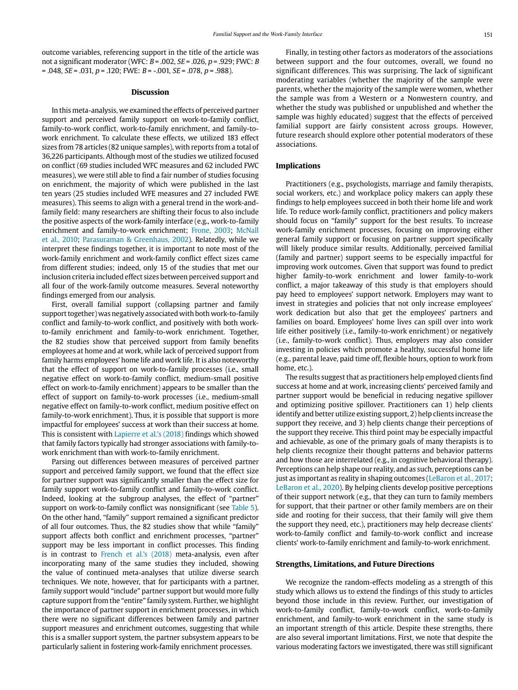outcome variables, referencing support in the title of the article was not a significant moderator (WFC:  $B = .002$ ,  $SE = .026$ ,  $p = .929$ ; FWC: B  $= .048$ ,  $SE = .031$ ,  $p = .120$ ; FWE:  $B = -.001$ ,  $SE = .078$ ,  $p = .988$ ).

#### **Discussion**

In this meta-analysis, we examined the effects of perceived partner support and perceived family support on work-to-family conflict, family-to-work conflict, work-to-family enrichment, and family-towork enrichment. To calculate these effects, we utilized 183 effect sizes from 78 articles (82 unique samples), with reports from a total of 36,226 participants. Although most of the studies we utilized focused on conflict (69 studies included WFC measures and 62 included FWC measures), we were still able to find a fair number of studies focusing on enrichment, the majority of which were published in the last ten years (25 studies included WFE measures and 27 included FWE measures). This seems to align with a general trend in the work-andfamily field: many researchers are shifting their focus to also include the positive aspects of the work-family interface (e.g., work-to-family enrichment and family-to-work enrichment; Frone, 2003; McNall et al., 2010; Parasuraman & Greenhaus, 2002). Relatedly, while we interpret these findings together, it is important to note most of the work-family enrichment and work-family conflict effect sizes came from different studies; indeed, only 15 of the studies that met our inclusion criteria included effect sizes between perceived support and all four of the work-family outcome measures. Several noteworthy findings emerged from our analysis.

First, overall familial support (collapsing partner and family support together) was negatively associated with both work-to-family conflict and family-to-work conflict, and positively with both workto-family enrichment and family-to-work enrichment. Together, the 82 studies show that perceived support from family benefits employees at home and at work, while lack of perceived support from family harms employees' home life and work life. It is also noteworthy that the effect of support on work-to-family processes (i.e., small negative effect on work-to-family conflict, medium-small positive effect on work-to-family enrichment) appears to be smaller than the effect of support on family-to-work processes (i.e., medium-small negative effect on family-to-work conflict, medium positive effect on family-to-work enrichment). Thus, it is possible that support is more impactful for employees' success at work than their success at home. This is consistent with Lapierre et al.'s (2018) findings which showed that family factors typically had stronger associations with family-towork enrichment than with work-to-family enrichment.

Parsing out differences between measures of perceived partner support and perceived family support, we found that the effect size for partner support was significantly smaller than the effect size for family support work-to-family conflict and family-to-work conflict. Indeed, looking at the subgroup analyses, the effect of "partner" support on work-to-family conflict was nonsignificant (see Table 5). On the other hand, "family" support remained a significant predictor of all four outcomes. Thus, the 82 studies show that while "family" support affects both conflict and enrichment processes, "partner" support may be less important in conflict processes. This finding is in contrast to French et al.'s (2018) meta-analysis, even after incorporating many of the same studies they included, showing the value of continued meta-analyses that utilize diverse search techniques. We note, however, that for participants with a partner, family support would "include" partner support but would more fully capture support from the "entire" family system. Further, we highlight the importance of partner support in enrichment processes, in which there were no significant differences between family and partner support measures and enrichment outcomes, suggesting that while this is a smaller support system, the partner subsystem appears to be particularly salient in fostering work-family enrichment processes.

Finally, in testing other factors as moderators of the associations between support and the four outcomes, overall, we found no significant differences. This was surprising. The lack of significant moderating variables (whether the majority of the sample were parents, whether the majority of the sample were women, whether the sample was from a Western or a Nonwestern country, and whether the study was published or unpublished and whether the sample was highly educated) suggest that the effects of perceived familial support are fairly consistent across groups. However, future research should explore other potential moderators of these associations.

#### **Implications**

Practitioners (e.g., psychologists, marriage and family therapists, social workers, etc.) and workplace policy makers can apply these findings to help employees succeed in both their home life and work life. To reduce work-family conflict, practitioners and policy makers should focus on "family" support for the best results. To increase work-family enrichment processes, focusing on improving either general family support or focusing on partner support specifically will likely produce similar results. Additionally, perceived familial (family and partner) support seems to be especially impactful for improving work outcomes. Given that support was found to predict higher family-to-work enrichment and lower family-to-work conflict, a major takeaway of this study is that employers should pay heed to employees' support network. Employers may want to invest in strategies and policies that not only increase employees' work dedication but also that get the employees' partners and families on board. Employees' home lives can spill over into work life either positively (i.e., family-to-work enrichment) or negatively (i.e., family-to-work conflict). Thus, employers may also consider investing in policies which promote a healthy, successful home life (e.g., parental leave, paid time off, flexible hours, option to work from home, etc.).

The results suggest that as practitioners help employed clients find success at home and at work, increasing clients' perceived family and partner support would be beneficial in reducing negative spillover and optimizing positive spillover. Practitioners can 1) help clients identify and better utilize existing support, 2) help clients increase the support they receive, and 3) help clients change their perceptions of the support they receive. This third point may be especially impactful and achievable, as one of the primary goals of many therapists is to help clients recognize their thought patterns and behavior patterns and how those are interrelated (e.g., in cognitive behavioral therapy). Perceptions can help shape our reality, and as such, perceptions can be just as important as reality in shaping outcomes (LeBaron et al., 2017; LeBaron et al., 2020). By helping clients develop positive perceptions of their support network (e.g., that they can turn to family members for support, that their partner or other family members are on their side and rooting for their success, that their family will give them the support they need, etc.), practitioners may help decrease clients' work-to-family conflict and family-to-work conflict and increase clients' work-to-family enrichment and family-to-work enrichment.

#### **Strengths, Limitations, and Future Directions**

We recognize the random-effects modeling as a strength of this study which allows us to extend the findings of this study to articles beyond those include in this review. Further, our investigation of work-to-family conflict, family-to-work conflict, work-to-family enrichment, and family-to-work enrichment in the same study is an important strength of this article. Despite these strengths, there are also several important limitations. First, we note that despite the various moderating factors we investigated, there was still significant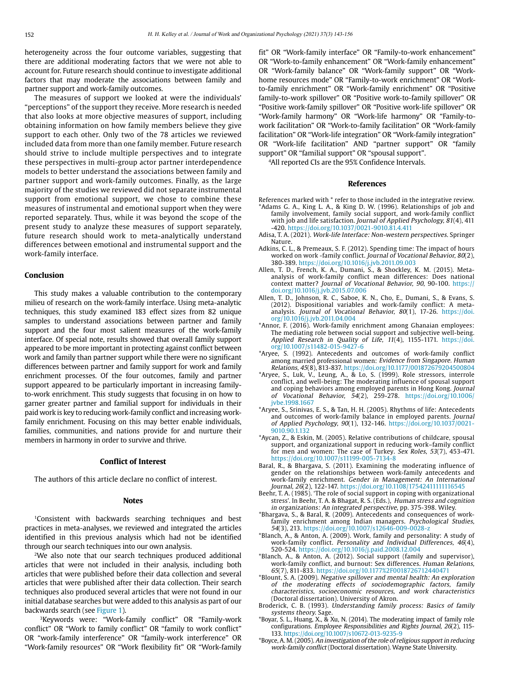heterogeneity across the four outcome variables, suggesting that there are additional moderating factors that we were not able to account for. Future research should continue to investigate additional factors that may moderate the associations between family and partner support and work-family outcomes.

The measures of support we looked at were the individuals' "perceptions" of the support they receive. More research is needed that also looks at more objective measures of support, including obtaining information on how family members believe they give support to each other. Only two of the 78 articles we reviewed included data from more than one family member. Future research should strive to include multiple perspectives and to integrate these perspectives in multi-group actor partner interdependence models to better understand the associations between family and partner support and work-family outcomes. Finally, as the large majority of the studies we reviewed did not separate instrumental support from emotional support, we chose to combine these measures of instrumental and emotional support when they were reported separately. Thus, while it was beyond the scope of the present study to analyze these measures of support separately, future research should work to meta-analytically understand differences between emotional and instrumental support and the work-family interface.

#### **Conclusion**

This study makes a valuable contribution to the contemporary milieu of research on the work-family interface. Using meta-analytic techniques, this study examined 183 effect sizes from 82 unique samples to understand associations between partner and family support and the four most salient measures of the work-family interface. Of special note, results showed that overall family support appeared to be more important in protecting against conflict between work and family than partner support while there were no significant differences between partner and family support for work and family enrichment processes. Of the four outcomes, family and partner support appeared to be particularly important in increasing familyto-work enrichment. This study suggests that focusing in on how to garner greater partner and familial support for individuals in their paid work is key to reducing work-family conflict and increasing workfamily enrichment. Focusing on this may better enable individuals, families, communities, and nations provide for and nurture their members in harmony in order to survive and thrive.

#### **Conflict of Interest**

The authors of this article declare no conflict of interest.

#### **Notes**

1Consistent with backwards searching techniques and best practices in meta-analyses, we reviewed and integrated the articles identified in this previous analysis which had not be identified through our search techniques into our own analysis.

2We also note that our search techniques produced additional articles that were not included in their analysis, including both articles that were published before their data collection and several articles that were published after their data collection. Their search techniques also produced several articles that were not found in our initial database searches but were added to this analysis as part of our backwards search (see Figure 1).

3Keywords were: "Work-family conflict" OR "Family-work conflict" OR "Work to family conflict" OR "family to work conflict" OR "work-family interference" OR "family-work interference" OR "Work-family resources" OR "Work flexibility fit" OR "Work-family

fit" OR "Work-family interface" OR "Family-to-work enhancement" OR "Work-to-family enhancement" OR "Work-family enhancement" OR "Work-family balance" OR "Work-family support" OR "Workhome resources mode" OR "Family-to-work enrichment" OR "Workto-family enrichment" OR "Work-family enrichment" OR "Positive family-to-work spillover" OR "Positive work-to-family spillover" OR "Positive work-family spillover" OR "Positive work-life spillover" OR "Work-family harmony" OR "Work-life harmony" OR "Family-towork facilitation" OR "Work-to-family facilitation" OR "Work-family facilitation" OR "Work-life integration" OR "Work-family integration" OR "Work-life facilitation" AND "partner support" OR "family support" OR "familial support" OR "spousal support".

4All reported CIs are the 95% Confidence Intervals.

#### **References**

- References marked with \* refer to those included in the integrative review. \*Adams G. A., King L. A., & King D. W. (1996). Relationships of job and family involvement, family social support, and work-family conflict with job and life satisfaction. Journal of Applied Psychology, 81(4), 411 -420. <https://doi.org/10.1037/0021-9010.81.4.411>
- Adisa, T. A. (2021). Work-life Interface: Non-western perspectives. Springer Nature.
- Adkins, C. L., & Premeaux, S. F. (2012). Spending time: The impact of hours worked on work -family conflict. Journal of Vocational Behavior, 80(2), 380-389. <https://doi.org/10.1016/j.jvb.2011.09.003>
- Allen, T. D., French, K. A., Dumani, S., & Shockley, K. M. (2015). Metaanalysis of work-family conflict mean differences: Does national context matter? Journal of Vocational Behavior, 90, 90-100. [https://](https://doi.org/10.1016/j.jvb.2015.07.006) [doi.org/10.1016/j.jvb.2015.07.006](https://doi.org/10.1016/j.jvb.2015.07.006)
- Allen, T. D., Johnson, R. C., Saboe, K. N., Cho, E., Dumani, S., & Evans, S. (2012). Dispositional variables and work-family conflict: A metaanalysis. Journal of Vocational Behavior, 80(1), 17-26. [https://doi.](https://doi.org/10.1016/j.jvb.2011.04.004) [org/10.1016/j.jvb.2011.04.004](https://doi.org/10.1016/j.jvb.2011.04.004)
- \*Annor, F. (2016). Work-family enrichment among Ghanaian employees: The mediating role between social support and subjective well-being. Applied Research in Quality of Life, 11(4), 1155-1171. [https://doi.](https://doi.org/10.1007/s11482-015-9427-6) [org/10.1007/s11482-015-9427-6](https://doi.org/10.1007/s11482-015-9427-6)
- \*Aryee, S. (1992). Antecedents and outcomes of work-family conflict among married professional women: Evidence from Singapore. Human Relations, 45(8), 813-837. <https://doi.org/10.1177/001872679204500804>
- \*Aryee, S., Luk, V., Leung, A., & Lo, S. (1999). Role stressors, interrole conflict, and well-being: The moderating influence of spousal support and coping behaviors among employed parents in Hong Kong. Journal of Vocational Behavior, 54(2), 259-278. [https://doi.org/10.1006/](https://doi.org/10.1006/jvbe.1998.1667) ivbe.1998.1667
- \*Aryee, S., Srinivas, E. S., & Tan, H. H. (2005). Rhythms of life: Antecedents and outcomes of work-family balance in employed parents. Journal of Applied Psychology, 90(1), 132-146. [https://doi.org/10.1037/0021-](https://psycnet.apa.org/doi/10.1037/0021-9010.90.1.132) [9010.90.1.132](https://psycnet.apa.org/doi/10.1037/0021-9010.90.1.132)
- \*Aycan, Z., & Eskin, M. (2005). Relative contributions of childcare, spousal support, and organizational support in reducing work–family conflict for men and women: The case of Turkey. Sex Roles, 53(7), 453-471. <https://doi.org/10.1007/s11199-005-7134-8>
- Baral, R., & Bhargava, S. (2011). Examining the moderating influence of gender on the relationships between work-family antecedents and work-family enrichment. Gender in Management: An International Journal, 26(2), 122-147.<https://doi.org/10.1108/17542411111116545>
- Beehr, T. A. (1985). 'The role of social support in coping with organizational stress'. In Beehr, T. A. & Bhagat, R. S. (Eds.), Human stress and cognition in organizations: An integrated perspective, pp. 375-398. Wiley.
- \*Bhargava, S., & Baral, R. (2009). Antecedents and consequences of workfamily enrichment among Indian managers. Psychological Studies, 54(3), 213. <https://doi.org/10.1007/s12646-009-0028-z>
- \*Blanch, A., & Anton, A. (2009). Work, family and personality: A study of work-family conflict. Personality and Individual Differences, 46(4), 520-524. <https://doi.org/10.1016/j.paid.2008.12.004>
- \*Blanch, A., & Anton, A. (2012). Social support (family and supervisor), work-family conflict, and burnout: Sex differences. Human Relations, 65(7), 811-833. <https://doi.org/10.1177%2F0018726712440471>
- \*Blount, S. A. (2009). Negative spillover and mental health: An exploration of the moderating effects of sociodemographic factors, family characteristics, socioeconomic resources, and work characteristics (Doctoral dissertation). University of Akron.
- Broderick, C. B. (1993). Understanding family process: Basics of family systems theory. Sage. \*Boyar, S. L., Huang, X., & Xu, N. (2014). The moderating impact of family role
- configurations. Employee Responsibilities and Rights Journal, 26(2), 115- 133.<https://doi.org/10.1007/s10672-013-9235-9>
- \*Boyce, A. M. (2005). An investigation of the role of religious support in reducing work-family conflict (Doctoral dissertation). Wayne State University.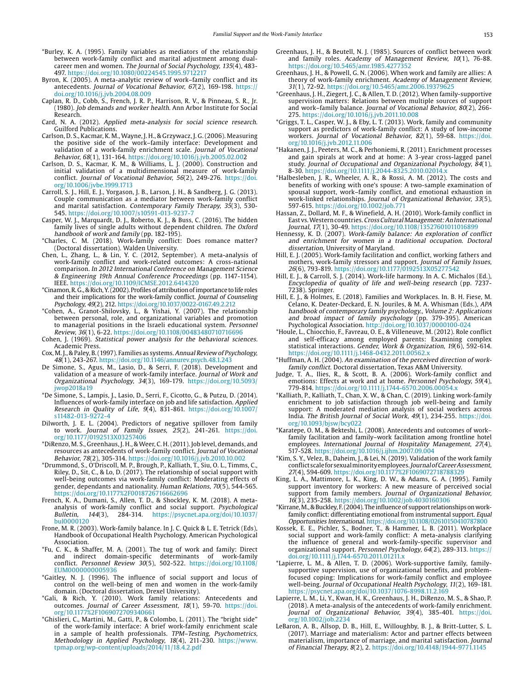- \*Burley, K. A. (1995). Family variables as mediators of the relationship between work-family conflict and marital adjustment among dualcareer men and women. The Journal of Social Psychology,  $135(\overline{4})$ , 483-497. <https://doi.org/10.1080/00224545.1995.9712217>
- Byron, K. (2005). A meta-analytic review of work–family conflict and its antecedents. Journal of Vocational Behavior, 67(2), 169-198. [https://](https://doi.org/10.1016/j.jvb.2004.08.009) [doi.org/10.1016/j.jvb.2004.08.009](https://doi.org/10.1016/j.jvb.2004.08.009)
- Caplan, R. D., Cobb, S., French, J. R. P., Harrison, R. V., & Pinneau, S. R., Jr. (1980). Job demands and worker health. Ann Arbor Institute for Social Research.
- Card, N. A. (2012). Applied meta-analysis for social science research. Guilford Publications.
- Carlson, D. S., Kacmar, K. M., Wayne, J. H., & Grzywacz, J. G. (2006). Measuring the positive side of the work–family interface: Development and validation of a work-family enrichment scale. Journal of Vocational Behavior, 68(1), 131-164. <https://doi.org/10.1016/j.jvb.2005.02.002>
- Carlson, D. S., Kacmar, K. M., & Williams, L. J. (2000). Construction and initial validation of a multidimensional measure of work-family conflict. Journal of Vocational Behavior, 56(2), 249-276. [https://doi.](https://doi.org/10.1006/jvbe.1999.1713) [org/10.1006/jvbe.1999.1713](https://doi.org/10.1006/jvbe.1999.1713)
- Carroll, S. J., Hill, E. J., Yorgason, J. B., Larson, J. H., & Sandberg, J. G. (2013). Couple communication as a mediator between work-family conflict and marital satisfaction. Contemporary Family Therapy, 35(3), 530- 545. <https://doi.org/10.1007/s10591-013-9237-7>
- Casper, W. J., Marquardt, D. J., Roberto, K. J., & Buss, C. (2016). The hidden family lives of single adults without dependent children. The Oxford handbook of work and family (pp. 182-195).
- \*Charles, C. M. (2018). Work-family conflict: Does romance matter? (Doctoral dissertation). Walden University.
- Chen, L., Zhang, L., & Lin, Y. C. (2012, September). A meta-analysis of work-family conflict and work-related outcomes: A cross-national comparison. In 2012 International Conference on Management Science & Engineering 19th Annual Conference Proceedings (pp. 1147-1154). IEEE. <https://doi.org/10.1109/ICMSE.2012.6414320>
- \*Cinamon, R. G., & Rich, Y. (2002). Profiles of attribution of importance to life roles and their implications for the work-family conflict. Journal of Counseling Psychology, 49(2), 212.<https://doi.org/10.1037/0022-0167.49.2.212>
- \*Cohen, A., Granot-Shilovsky, L., & Yishai, Y. (2007). The relationship between personal, role, and organizational variables and promotion to managerial positions in the Israeli educational system. Personnel Review, 36(1), 6-22.<https://doi.org/10.1108/00483480710716696>
- Cohen, J. (1969). Statistical power analysis for the behavioral sciences. Academic Press.
- Cox, M. J., & Paley, B. (1997). Families as systems. Annual Review of Psychology, 48(1), 243-267.<https://doi.org/10.1146/annurev.psych.48.1.243>
- De Simone, S., Agus, M., Lasio, D., & Serri, F. (2018). Development and validation of a measure of work-family interface. Journal of Work and Organizational Psychology, 34(3), 169-179. [https://doi.org/10.5093/](https://doi.org/10.5093/jwop2018a19) [jwop2018a19](https://doi.org/10.5093/jwop2018a19)
- \*De Simone, S., Lampis, J., Lasio, D., Serri, F., Cicotto, G., & Putzu, D. (2014). Influences of work-family interface on job and life satisfaction. Applied Research in Quality of Life, 9(4), 831-861. [https://doi.org/10.1007/](https://doi.org/10.1007/s11482-013-9272-4) [s11482-013-9272-4](https://doi.org/10.1007/s11482-013-9272-4)
- Dilworth, J. E. L. (2004). Predictors of negative spillover from family to work. Journal of Family Issues, 25(2), 241-261. [https://doi.](https://doi.org/10.1177/0192513X03257406) [org/10.1177/0192513X03257406](https://doi.org/10.1177/0192513X03257406)
- \*DiRenzo, M. S., Greenhaus, J. H., & Weer, C. H. (2011). Job level, demands, and resources as antecedents of work-family conflict. Journal of Vocational Behavior, 78(2), 305-314. <https://doi.org/10.1016/j.jvb.2010.10.002>
- \*Drummond, S., O'Driscoll, M. P., Brough, P., Kalliath, T., Siu, O. L., Timms, C., Riley, D., Sit, C., & Lo, D. (2017). The relationship of social support with well-being outcomes via work-family conflict: Moderating effects of gender, dependants and nationality. Human Relations, 70(5), 544-565. <https://doi.org/10.1177%2F0018726716662696>
- French, K. A., Dumani, S., Allen, T. D., & Shockley, K. M. (2018). A metaanalysis of work-family conflict and social support. Psychological Bulletin, 144(3), 284-314. https://psycnet.apa.org/doi/10.1037/ Bulletin, 144(3), 284-314. [https://psycnet.apa.org/doi/10.1037/](https://psycnet.apa.org/doi/10.1037/bul0000120) [bul0000120](https://psycnet.apa.org/doi/10.1037/bul0000120)
- Frone, M. R. (2003). Work-family balance. In J. C. Quick & L. E. Tetrick (Eds), Handbook of Occupational Health Psychology. American Psychological Association.
- \*Fu, C. K., & Shaffer, M. A. (2001). The tug of work and family: Direct and indirect domain-specific determinants of work-family conflict. Personnel Review 30(5), 502-522. [https://doi.org/10.1108/](https://doi.org/10.1108/EUM0000000005936) [EUM0000000005936](https://doi.org/10.1108/EUM0000000005936)
- \*Gaitley, N. J. (1996). The influence of social support and locus of control on the well-being of men and women in the work-family domain. (Doctoral dissertation, Drexel University).
- \*Gali, & Rich, Y. (2010). Work family relations: Antecedents and outcomes. Journal of Career Assessment, 18(1), 59-70. [https://doi.](https://doi.org/10.1177%2F1069072709340661) [org/10.1177%2F1069072709340661](https://doi.org/10.1177%2F1069072709340661)
- \*Ghislieri, C., Martini, M., Gatti, P., & Colombo, L. (2011). The "bright side" of the work-family interface: A brief work-family enrichment scale in a sample of health professionals. TPM–Testing, Psychometrics, Methodology in Applied Psychology, 18(4), 211-230. [https://www.](https://www.tpmap.org/wp-content/uploads/2014/11/18.4.2.pdf) [tpmap.org/wp-content/uploads/2014/11/18.4.2.pdf](https://www.tpmap.org/wp-content/uploads/2014/11/18.4.2.pdf)
- Greenhaus, J. H., & Beutell, N. J. (1985). Sources of conflict between work and family roles. Academy of Management Review, 10(1), 76-88. <https://doi.org/10.5465/amr.1985.4277352>
- Greenhaus, J. H., & Powell, G. N. (2006). When work and family are allies: A theory of work-family enrichment. Academy of Management Review, 31(1), 72-92.<https://doi.org/10.5465/amr.2006.19379625>
- \*Greenhaus, J. H., Ziegert, J. C., & Allen, T. D. (2012). When family-supportive supervision matters: Relations between multiple sources of support and work–family balance. Journal of Vocational Behavior, 80(2), 266- 275. <https://doi.org/10.1016/j.jvb.2011.10.008>
- \*Griggs, T. L., Casper, W. J., & Eby, L. T. (2013). Work, family and community support as predictors of work-family conflict: A study of low-income workers. Journal of Vocational Behavior, 82(1), 59-68. [https://doi.](https://doi.org/10.1016/j.jvb.2012.11.006) [org/10.1016/j.jvb.2012.11.006](https://doi.org/10.1016/j.jvb.2012.11.006)
- \*Hakanen, J. J., Peeters, M. C., & Perhoniemi, R. (2011). Enrichment processes and gain spirals at work and at home: A 3-year cross-lagged panel study. Journal of Occupational and Organizational Psychology, 84(1), 8-30. <https://doi.org/10.1111/j.2044-8325.2010.02014.x>
- \*Halbesleben, J. R., Wheeler, A. R., & Rossi, A. M. (2012). The costs and benefits of working with one's spouse: A two-sample examination of spousal support, work–family conflict, and emotional exhaustion in work-linked relationships. Journal of Organizational Behavior, 33(5), 597-615.<https://doi.org/10.1002/job.771>
- Hassan, Z., Dollard, M. F., & Winefield, A. H. (2010). Work-family conflict in East vs. Western countries. Cross Cultural Management: An International Journal, 17(1), 30-49. <https://doi.org/10.1108/13527601011016899>
- Hennessy, K. D. (2007). Work-family balance: An exploration of conflict and enrichment for women in a traditional occupation. Doctoral dissertation, University of Maryland.
- Hill, E. J. (2005). Work-family facilitation and conflict, working fathers and mothers, work-family stressors and support. Journal of Family Issues, 26(6), 793-819.<https://doi.org/10.1177/0192513X05277542>
- Hill, E. J., & Carroll, S. J. (2014). Work-life harmony. In A. C. Michalos (Ed.), Encyclopedia of quality of life and well-being research (pp. 7237- 7238). Springer.
- Hill, E. J., & Holmes, E. (2018). Families and Workplaces. In. B. H. Fiese, M. Celano, K. Deater-Deckard, E. N. Jouriles, & M. A. Whisman (Eds.), APA handbook of contemporary family psychology., Volume 2: Applications and broad impact of family psychology (pp. 379-395). American Psychological Association. <http://doi.org/10.1037/0000100-024>
- \*Houle, L., Chiocchio, F., Favreau, O. E., & Villeneuve, M. (2012). Role conflict and self-efficacy among employed parents: Examining complex statistical interactions. Gender, Work & Organization, 19(6), 592-614. <https://doi.org/10.1111/j.1468-0432.2011.00562.x>
- \*Huffman, A. H. (2004). An examination of the perceived direction of workfamily conflict. Doctoral dissertation, Texas A&M University.
- Judge, T. A., Ilies, R., & Scott, B. A. (2006). Work-family conflict and emotions: Effects at work and at home. Personnel Psychology, 59(4), 779-814. <https://doi.org/10.1111/j.1744-6570.2006.00054.x>
- \*Kalliath, P., Kalliath, T., Chan, X. W., & Chan, C. (2019). Linking work-family enrichment to job satisfaction through job well-being and family support: A moderated mediation analysis of social workers across India. The British Journal of Social Work, 49(1), 234-255. [https://doi.](https://doi.org/10.1093/bjsw/bcy022) [org/10.1093/bjsw/bcy022](https://doi.org/10.1093/bjsw/bcy022)
- \*Karatepe, O. M., & Bekteshi, L. (2008). Antecedents and outcomes of work– family facilitation and family–work facilitation among frontline hotel employees. International Journal of Hospitality Management, 27(4), 517-528. <https://doi.org/10.1016/j.ijhm.2007.09.004>
- \*Kim, S. Y., Velez, B., Daheim, J., & Lei, N. (2019). Validation of the work family conflict scale for sexual minority employees. Journal of Career Assessment, 27(4), 594-609. <https://doi.org/10.1177%2F1069072718788329>
- King, L. A., Mattimore, L. K., King, D. W., & Adams, G. A. (1995). Family support inventory for workers: A new measure of perceived social support from family members. Journal of Organizational Behavior, 16(3), 235-258. <https://doi.org/10.1002/job.4030160306>
- \*Kirrane, M., & Buckley, F. (2004). The influence of support relationships on workfamily conflict: differentiating emotional from instrumental support. Equal Opportunities International. <https://doi.org/10.1108/02610150410787800>
- Kossek, E. E., Pichler, S., Bodner, T., & Hammer, L. B. (2011). Workplace social support and work-family conflict: A meta-analysis clarifying the influence of general and work-family-specific supervisor and organizational support. Personnel Psychology, 64(2), 289-313. [https://](https://doi.org/10.1111/j.1744-6570.2011.01211.x) [doi.org/10.1111/j.1744-6570.2011.01211.x](https://doi.org/10.1111/j.1744-6570.2011.01211.x)
- \*Lapierre, L. M., & Allen, T. D. (2006). Work-supportive family, familysupportive supervision, use of organizational benefits, and problemfocused coping: Implications for work-family conflict and employee well-being. Journal of Occupational Health Psychology, 11(2), 169-181. <https://psycnet.apa.org/doi/10.1037/1076-8998.11.2.169>
- Lapierre, L. M., Li, Y., Kwan, H. K., Greenhaus, J. H., DiRenzo, M. S., & Shao, P. (2018). A meta-analysis of the antecedents of work-family enrichment. Journal of Organizational Behavior, 39(4), 385-401. [https://doi.](https://doi.org/10.1002/job.2234) [org/10.1002/job.2234](https://doi.org/10.1002/job.2234)
- LeBaron, A. B., Allsop, D. B., Hill, E., Willoughby, B. J., & Britt-Lutter, S. L. (2017). Marriage and materialism: Actor and partner effects between materialism, importance of marriage, and marital satisfaction. Journal of Financial Therapy, 8(2), 2. <https://doi.org/10.4148/1944-9771.1145>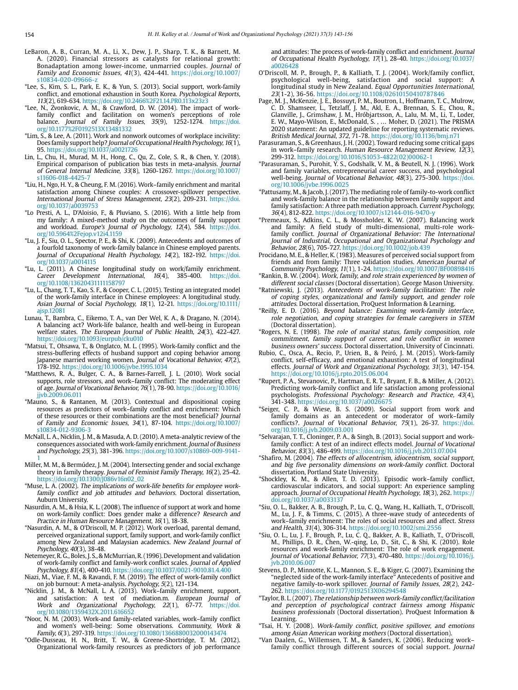- LeBaron, A. B., Curran, M. A., Li, X., Dew, J. P., Sharp, T. K., & Barnett, M. A. (2020). Financial stressors as catalysts for relational growth: Bonadaptation among lower-income, unmarried couples. Journal of Family and Economic Issues, 41(3), 424-441. [https://doi.org/10.1007/](https://doi.org/10.1007/s10834-020-09666-z) [s10834-020-09666-z](https://doi.org/10.1007/s10834-020-09666-z)
- \*Lee, S., Kim, S. L., Park, E. K., & Yun, S. (2013). Social support, work-family conflict, and emotional exhaustion in South Korea. Psychological Reports, 113(2), 619-634. <https://doi.org/10.2466%2F21.14.PR0.113x23z3>
- \*Lee, N., Zvonkovic, A. M., & Crawford, D. W. (2014). The impact of workfamily conflict and facilitation on women's perceptions of role balance. Journal of Family Issues, 35(9), 1252-1274. [https://doi.](https://doi.org/10.1177%2F0192513X13481332) [org/10.1177%2F0192513X13481332](https://doi.org/10.1177%2F0192513X13481332)
- \*Lim, S., & Lee, A. (2011). Work and nonwork outcomes of workplace incivility: Does family support help? Journal of Occupational Health Psychology, 16(1), 95. <https://doi.org/10.1037/a0021726>
- Lin, L., Chu, H., Murad, M. H., Hong, C., Qu, Z., Cole, S. R., & Chen, Y. (2018). Empirical comparison of publication bias tests in meta-analysis. Journal of General Internal Medicine, 33(8), 1260-1267. [https://doi.org/10.1007/](https://doi.org/10.1007/s11606-018-4425-7) [s11606-018-4425-7](https://doi.org/10.1007/s11606-018-4425-7)
- \*Liu, H., Ngo, H. Y., & Cheung, F. M. (2016). Work–family enrichment and marital satisfaction among Chinese couples: A crossover-spillover perspective. International Journal of Stress Management, 23(2), 209-231. [https://doi.](https://doi.org/10.1037/a0039753) [org/10.1037/a0039753](https://doi.org/10.1037/a0039753)
- \*Lo Presti, A. L., D'Aloisio, F., & Pluviano, S. (2016). With a little help from my family: A mixed-method study on the outcomes of family support and workload. Europe's Journal of Psychology, 12(4), 584. [https://doi.](https://doi.org/10.5964%2Fejop.v12i4.1159) [org/10.5964%2Fejop.v12i4.1159](https://doi.org/10.5964%2Fejop.v12i4.1159)
- \*Lu, J. F., Siu, O. L., Spector, P. E., & Shi, K. (2009). Antecedents and outcomes of a fourfold taxonomy of work-family balance in Chinese employed parents. Journal of Occupational Health Psychology, 14(2), 182-192. [https://doi.](https://doi.org/10.1037/a0014115) [org/10.1037/a0014115](https://doi.org/10.1037/a0014115)
- $*$ Lu, L. (2011). A Chinese longitudinal study on work/family enrichment.<br>Career Development International, 16(4), 385-400. https://doi. Career Development International, [org/10.1108/13620431111158797](https://doi.org/10.1108/13620431111158797)
- \*Lu, L., Chang, T. T., Kao, S. F., & Cooper, C. L. (2015). Testing an integrated model of the work-family interface in Chinese employees: A longitudinal study. Asian Journal of Social Psychology, 18(1), 12-21. [https://doi.org/10.1111/](https://doi.org/10.1111/ajsp.12081) [ajsp.12081](https://doi.org/10.1111/ajsp.12081)
- Lunau, T., Bambra, C., Eikemo, T. A., van Der Wel, K. A., & Dragano, N. (2014). A balancing act? Work-life balance, health and well-being in European welfare states. The European Journal of Public Health, 24(3), 422-427. <https://doi.org/10.1093/eurpub/cku010>
- \*Matsui, T., Ohsawa, T., & Onglatco, M. L. (1995). Work-family conflict and the stress-buffering effects of husband support and coping behavior among Japanese married working women. Journal of Vocational Behavior, 47(2), 178-192.<https://doi.org/10.1006/jvbe.1995.1034>
- \*Matthews, R. A., Bulger, C. A., & Barnes-Farrell, J. L. (2010). Work social supports, role stressors, and work–family conflict: The moderating effect of age. Journal of Vocational Behavior, 76(1), 78-90. [https://doi.org/10.1016/](https://doi.org/10.1016/jjvb.2009.06.011) [jjvb.2009.06.011](https://doi.org/10.1016/jjvb.2009.06.011)
- \*Mauno, S., & Rantanen, M. (2013). Contextual and dispositional coping resources as predictors of work–family conflict and enrichment: Which of these resources or their combinations are the most beneficial? Journal of Family and Economic Issues, 34(1), 87-104. [https://doi.org/10.1007/](https://doi.org/10.1007/s10834-012-9306-3) [s10834-012-9306-3](https://doi.org/10.1007/s10834-012-9306-3)
- McNall, L. A., Nicklin, J. M., & Masuda, A. D. (2010). A meta-analytic review of the consequences associated with work-family enrichment. Journal of Business and Psychology, 25(3), 381-396. [https://doi.org/10.1007/s10869-009-9141-](https://doi.org/10.1007/s10869-009-9141-1) [1](https://doi.org/10.1007/s10869-009-9141-1)
- Miller, M. M., & Bermúdez, J. M. (2004). Intersecting gender and social exchange theory in family therapy. Journal of Feminist Family Therapy, 16(2), 25-42. [https://doi.org/10.1300/J086v16n02\\_02](https://doi.org/10.1300/J086v16n02_02)
- \*Muse, L. A. (2002). The implications of work-life benefits for employee workfamily conflict and job attitudes and behaviors. Doctoral dissertation, Auburn University.
- Nasurdin, A. M., & Hsia, K. L. (2008). The influence of support at work and home on work-family conflict: Does gender make a difference? Research and Practice in Human Resource Management, 16(1), 18-38.
- \*Nasurdin, A. M., & O'Driscoll, M. P. (2012). Work overload, parental demand, perceived organizational support, family support, and work-family conflict among New Zealand and Malaysian academics. New Zealand Journal of Psychology, 40(3), 38-48.
- Netemeyer, R. G., Boles, J. S., & McMurrian, R. (1996). Development and validation of work-family conflict and family-work conflict scales. Journal of Applied Psychology, 81(4), 400-410. <https://doi.org/10.1037/0021-9010.81.4.400>
- Niazi, M., Viae, F. M., & Ravandi, F. M. (2019). The effect of work-family conflict on job burnout: A meta-analysis. Psychology, 5(2), 121-134.
- \*Nicklin, J. M., & McNall, L. A. (2013). Work–family enrichment, support, and satisfaction: A test of mediation.m. European Journal of Work and Organizational Psychology, 22(1), 67-77. [https://doi.](https://doi.org/10.1080/1359432X.2011.616652) [org/10.1080/1359432X.2011.616652](https://doi.org/10.1080/1359432X.2011.616652)
- \*Noor, N. M. (2003). Work-and family-related variables, work–family conflict and women's well-being: Some observations. Community, Work & Family, 6(3), 297-319. <https://doi.org/10.1080/1366880032000143474>
- \*Odle-Dusseau, H. N., Britt, T. W., & Greene-Shortridge, T. M. (2012). Organizational work-family resources as predictors of job performance

and attitudes: The process of work-family conflict and enrichment. Journal of Occupational Health Psychology, 17(1), 28-40. [https://doi.org/10.1037/](https://doi.org/10.1037/a0026428) [a0026428](https://doi.org/10.1037/a0026428)

- O'Driscoll, M. P., Brough, P., & Kalliath, T. J. (2004). Work/family conflict, psychological well-being, satisfaction and social support: A longitudinal study in New Zealand. Equal Opportunities International, 23(1-2), 36-56.<https://doi.org/10.1108/02610150410787846>
- Page, M. J., McKenzie, J. E., Bossuyt, P. M., Boutron, I., Hoffmann, T. C., Mulrow, C. D. Shamseer, L., Tetzlaff, J. M., Akl, E. A., Brennan, S. E., Chou, R., Glanville, J., Grimshaw, J. M., Hróbjartsson, A., Lalu, M. M., Li, T., Loder, E. W., Mayo-Wilson, E., McDonald, S. , … Moher, D. (2021). The PRISMA 2020 statement: An updated guideline for reporting systematic reviews. British Medical Journal, 372, 71-78. <https://doi.org/10.1136/bmj.n71>
- Parasuraman, S., & Greenhaus, J. H. (2002). Toward reducing some critical gaps in work–family research. Human Resource Management Review, 12(3), 299-312. [https://doi.org/10.1016/S1053-4822\(02\)00062-1](https://doi.org/10.1016/S1053-4822(02)00062-1)
- \*Parasuraman, S., Purohit, Y. S., Godshalk, V. M., & Beutell, N. J. (1996). Work and family variables, entrepreneurial career success, and psychological well-being. Journal of Vocational Behavior, 48(3), 275-300. [https://doi.](https://doi.org/10.1006/jvbe.1996.0025) [org/10.1006/jvbe.1996.0025](https://doi.org/10.1006/jvbe.1996.0025)
- \*Pattusamy, M., & Jacob, J. (2017). The mediating role of family-to-work conflict and work-family balance in the relationship between family support and family satisfaction: A three path mediation approach. Current Psychology, 36(4), 812-822.<https://doi.org/10.1007/s12144-016-9470-y>
- \*Premeaux, S., Adkins, C. L., & Mossholder, K. W. (2007). Balancing work and family: A field study of multi-dimensional, multi-role workfamily conflict. Journal of Organizational Behavior: The International Journal of Industrial, Occupational and Organizational Psychology and Behavior, 28(6), 705-727. <https://doi.org/10.1002/job.439>
- Procidano, M. E., & Heller, K. (1983). Measures of perceived social support from friends and from family: Three validation studies. American Journal of Community Psychology, 11(1), 1-24.<https://doi.org/10.1007/BF00898416>
- \*Rankin, B. W. (2004). Work, family, and role strain experienced by women of different social classes (Doctoral dissertation). George Mason University.
- \*Ratniewski, J. (2013). Antecedents of work-family facilitation: The role of coping styles, organizational and family support, and gender role attitudes. Doctoral dissertation, ProQuest Information & Learning.
- \*Reilly, E. D. (2016). Beyond balance: Examining work-family interface, role negotiation, and coping strategies for female caregivers in STEM (Doctoral dissertation).
- \*Rogers, N. E. (1998). The role of marital status, family composition, role commitment, family support of career, and role conflict in women business owners' success. Doctoral dissertation, University of Cincinnati.
- Rubio, C., Osca, A., Recio, P., Urien, B., & Peiró, J. M. (2015). Work-family conflict, self-efficacy, and emotional exhaustion: A test of longitudinal effects. Journal of Work and Organizational Psychology, 31(3), 147-154. <https://doi.org/10.1016/j.rpto.2015.06.004>
- \*Rupert, P. A., Stevanovic, P., Hartman, E. R. T., Bryant, F. B., & Miller, A. (2012). Predicting work-family conflict and life satisfaction among professional psychologists. Professional Psychology: Research and Practice, 43(4), 341-348.<https://doi.org/10.1037/a0026675>
- \*Seiger, C. P., & Wiese, B. S. (2009). Social support from work and family domains as an antecedent or moderator of work–family conflicts?. Journal of Vocational Behavior, 75(1), 26-37. [https://doi.](https://doi.org/10.1016/j.jvb.2009.03.001) [org/10.1016/j.jvb.2009.03.001](https://doi.org/10.1016/j.jvb.2009.03.001)
- \*Selvarajan, T. T., Cloninger, P. A., & Singh, B. (2013). Social support and workfamily conflict: A test of an indirect effects model. Journal of Vocational Behavior, 83(3), 486-499.<https://doi.org/10.1016/j.jvb.2013.07.004>
- \*Shafiro, M. (2004). The effects of allocentrism, idiocentrism, social support, and big five personality dimensions on work-family conflict. Doctoral dissertation, Portland State University.
- \*Shockley, K. M., & Allen, T. D. (2013). Episodic work–family conflict, cardiovascular indicators, and social support: An experience sampling approach. Journal of Occupational Health Psychology, 18(3), 262. [https://](https://doi.org/10.1037/a0033137) [doi.org/10.1037/a0033137](https://doi.org/10.1037/a0033137)
- \*Siu, O. L., Bakker, A. B., Brough, P., Lu, C. Q., Wang, H., Kalliath, T., O'Driscoll, M., Lu, J. F., & Timms, C. (2015). A three-wave study of antecedents of work–family enrichment: The roles of social resources and affect. Stress and Health, 31(4), 306-314.<https://doi.org/10.1002/smi.2556>
- \*Siu, O. L., Lu, J. F., Brough, P., Lu, C. Q., Bakker, A. B., Kalliath, T., O'Driscoll, M., Phillips, D. R., Chen, W.-qing, Lo, D., Sit, C., & Shi, K. (2010). Role resources and work-family enrichment: The role of work engagement. Journal of Vocational Behavior, 77(3), 470-480. [https://doi.org/10.1016/j.](https://doi.org/10.1016/j.jvb.2010.06.007) [jvb.2010.06.007](https://doi.org/10.1016/j.jvb.2010.06.007)
- Stevens, D. P., Minnotte, K. L., Mannon, S. E., & Kiger, G. (2007). Examining the "neglected side of the work-family interface" Antecedents of positive and negative family-to-work spillover. Journal of Family Issues, 28(2), 242- 262.<https://doi.org/10.1177/0192513X06294548>
- \*Taylor, B. L. (2007). The relationship between work-family conflict/facilitation and perception of psychological contract fairness among Hispanic business professionals (Doctoral dissertation). ProQuest Information & Learning.
- \*Tsai, H. Y. (2008). Work-family conflict, positive spillover, and emotions among Asian American working mothers (Doctoral dissertation).
- \*Van Daalen, G., Willemsen, T. M., & Sanders, K. (2006). Reducing work– family conflict through different sources of social support. Journal